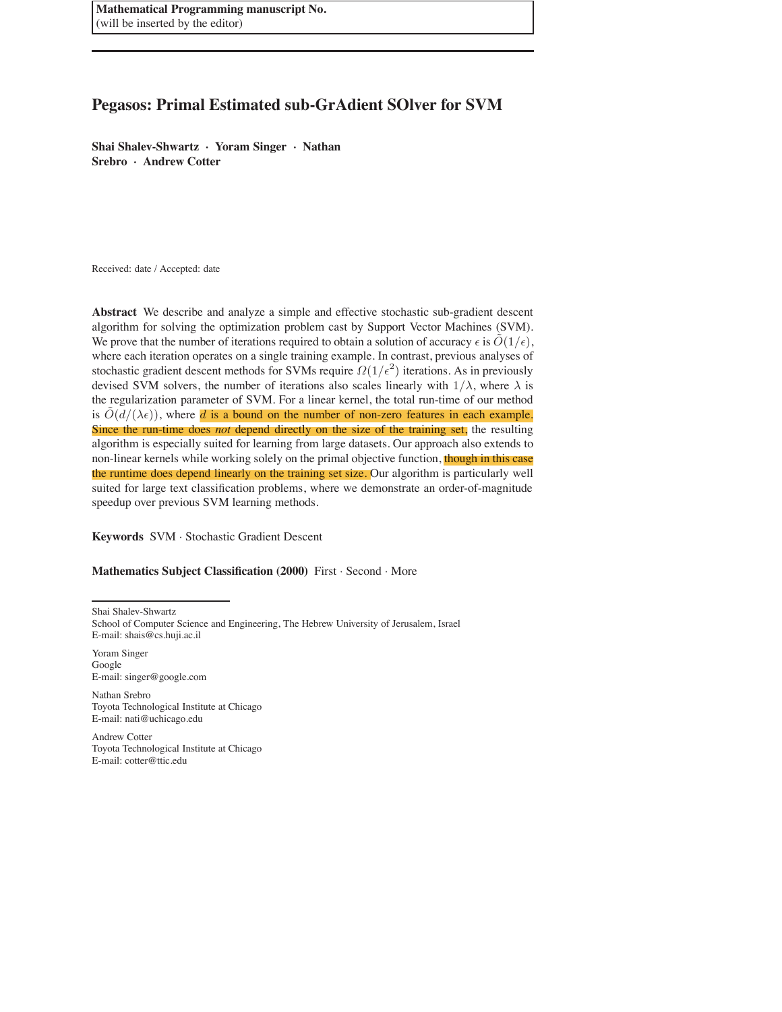**Mathematical Programming manuscript No.** (will be inserted by the editor)

# **Pegasos: Primal Estimated sub-GrAdient SOlver for SVM**

**Shai Shalev-Shwartz** · **Yoram Singer** · **Nathan Srebro** · **Andrew Cotter**

Received: date / Accepted: date

**Abstract** We describe and analyze a simple and effective stochastic sub-gradient descent algorithm for solving the optimization problem cast by Support Vector Machines (SVM). We prove that the number of iterations required to obtain a solution of accuracy  $\epsilon$  is  $\tilde{O}(1/\epsilon)$ , where each iteration operates on a single training example. In contrast, previous analyses of stochastic gradient descent methods for SVMs require  $\Omega(1/\epsilon^2)$  iterations. As in previously devised SVM solvers, the number of iterations also scales linearly with  $1/\lambda$ , where  $\lambda$  is the regularization parameter of SVM. For a linear kernel, the total run-time of our method is  $O(d/(\lambda \epsilon))$ , where d is a bound on the number of non-zero features in each example. Since the run-time does *not* depend directly on the size of the training set, the resulting algorithm is especially suited for learning from large datasets. Our approach also extends to non-linear kernels while working solely on the primal objective function, though in this case the runtime does depend linearly on the training set size. Our algorithm is particularly well suited for large text classification problems, where we demonstrate an order-of-magnitude speedup over previous SVM learning methods.

**Keywords** SVM · Stochastic Gradient Descent

**Mathematics Subject Classification (2000)** First · Second · More

Shai Shalev-Shwartz

Yoram Singer Google E-mail: singer@google.com

Nathan Srebro Toyota Technological Institute at Chicago E-mail: nati@uchicago.edu

Andrew Cotter Toyota Technological Institute at Chicago E-mail: cotter@ttic.edu

School of Computer Science and Engineering, The Hebrew University of Jerusalem, Israel E-mail: shais@cs.huji.ac.il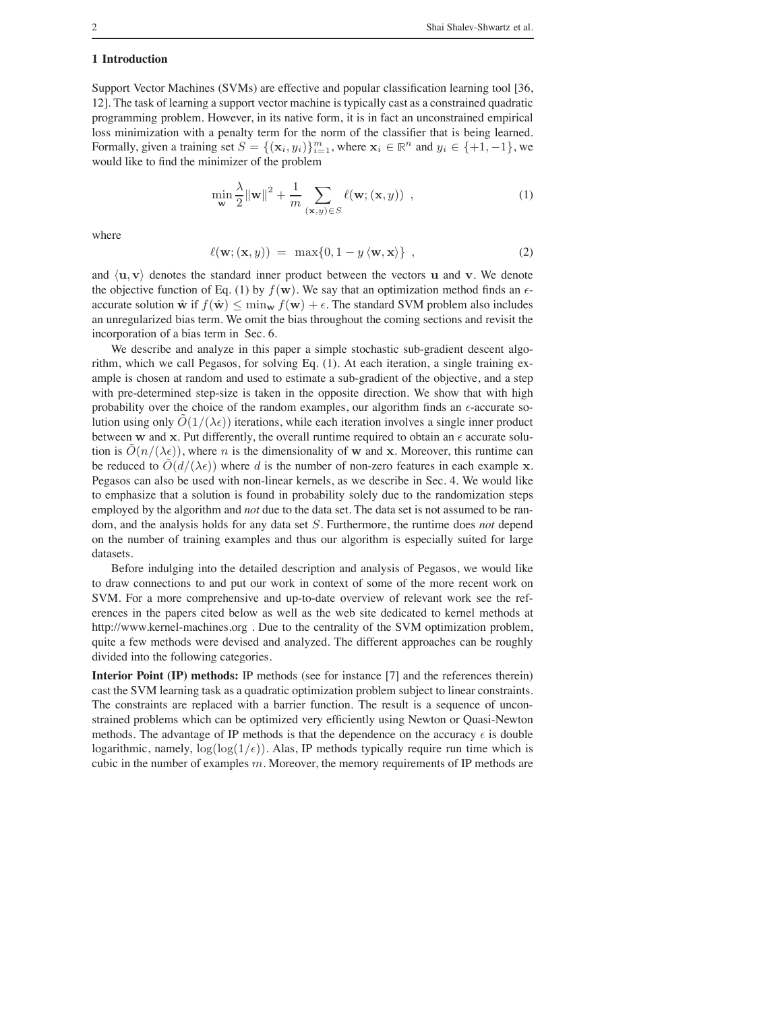#### **1 Introduction**

Support Vector Machines (SVMs) are effective and popular classification learning tool [36, 12]. The task of learning a support vector machine is typically cast as a constrained quadratic programming problem. However, in its native form, it is in fact an unconstrained empirical loss minimization with a penalty term for the norm of the classifier that is being learned. Formally, given a training set  $S = \{(\mathbf{x}_i, y_i)\}_{i=1}^m$ , where  $\mathbf{x}_i \in \mathbb{R}^n$  and  $y_i \in \{+1, -1\}$ , we would like to find the minimizer of the problem

$$
\min_{\mathbf{w}} \frac{\lambda}{2} ||\mathbf{w}||^2 + \frac{1}{m} \sum_{(\mathbf{x}, y) \in S} \ell(\mathbf{w}; (\mathbf{x}, y)) ,
$$
 (1)

where

$$
\ell(\mathbf{w}; (\mathbf{x}, y)) = \max\{0, 1 - y \langle \mathbf{w}, \mathbf{x} \rangle\},\tag{2}
$$

and  $\langle \mathbf{u}, \mathbf{v} \rangle$  denotes the standard inner product between the vectors **u** and **v**. We denote the objective function of Eq. (1) by  $f(\mathbf{w})$ . We say that an optimization method finds an  $\epsilon$ accurate solution  $\hat{\mathbf{w}}$  if  $f(\hat{\mathbf{w}}) \le \min_{\mathbf{w}} f(\mathbf{w}) + \epsilon$ . The standard SVM problem also includes an unregularized bias term. We omit the bias throughout the coming sections and revisit the incorporation of a bias term in Sec. 6.

We describe and analyze in this paper a simple stochastic sub-gradient descent algorithm, which we call Pegasos, for solving Eq. (1). At each iteration, a single training example is chosen at random and used to estimate a sub-gradient of the objective, and a step with pre-determined step-size is taken in the opposite direction. We show that with high probability over the choice of the random examples, our algorithm finds an  $\epsilon$ -accurate solution using only  $O(1/(\lambda \epsilon))$  iterations, while each iteration involves a single inner product between w and x. Put differently, the overall runtime required to obtain an  $\epsilon$  accurate solution is  $O(n/(\lambda \epsilon))$ , where n is the dimensionality of w and x. Moreover, this runtime can be reduced to  $O(d/(\lambda \epsilon))$  where d is the number of non-zero features in each example x. Pegasos can also be used with non-linear kernels, as we describe in Sec. 4. We would like to emphasize that a solution is found in probability solely due to the randomization steps employed by the algorithm and *not* due to the data set. The data set is not assumed to be random, and the analysis holds for any data set S. Furthermore, the runtime does *not* depend on the number of training examples and thus our algorithm is especially suited for large datasets.

Before indulging into the detailed description and analysis of Pegasos, we would like to draw connections to and put our work in context of some of the more recent work on SVM. For a more comprehensive and up-to-date overview of relevant work see the references in the papers cited below as well as the web site dedicated to kernel methods at http://www.kernel-machines.org . Due to the centrality of the SVM optimization problem, quite a few methods were devised and analyzed. The different approaches can be roughly divided into the following categories.

**Interior Point (IP) methods:** IP methods (see for instance [7] and the references therein) cast the SVM learning task as a quadratic optimization problem subject to linear constraints. The constraints are replaced with a barrier function. The result is a sequence of unconstrained problems which can be optimized very efficiently using Newton or Quasi-Newton methods. The advantage of IP methods is that the dependence on the accuracy  $\epsilon$  is double logarithmic, namely,  $\log(\log(1/\epsilon))$ . Alas, IP methods typically require run time which is cubic in the number of examples  $m$ . Moreover, the memory requirements of IP methods are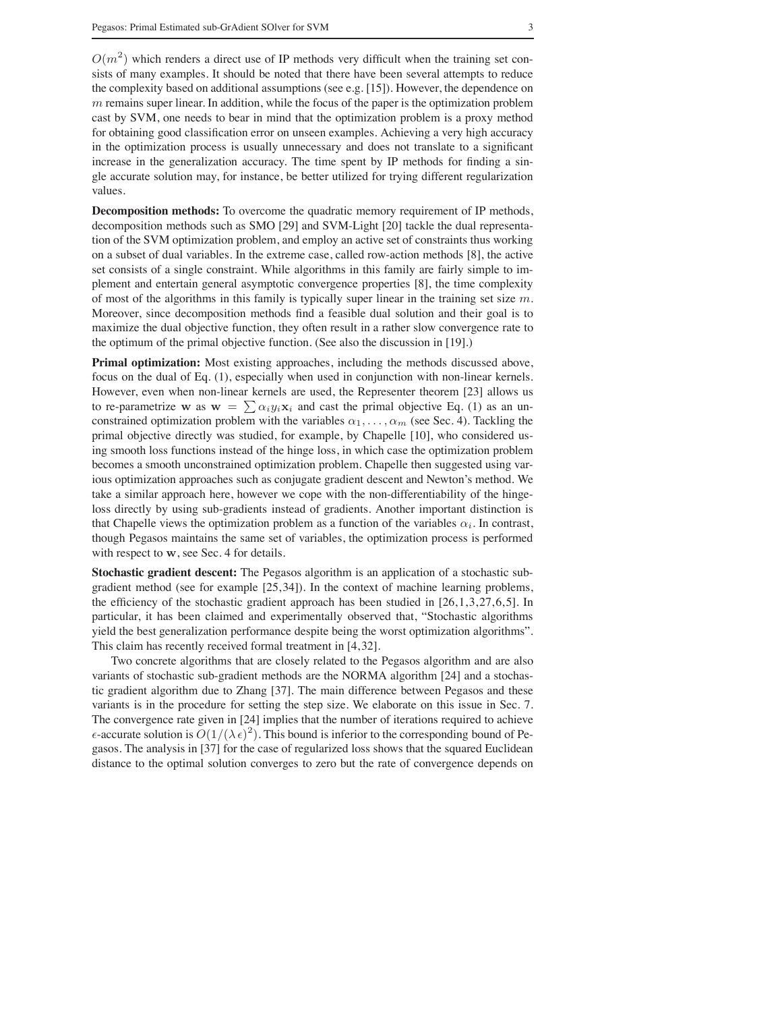$O(m^2)$  which renders a direct use of IP methods very difficult when the training set consists of many examples. It should be noted that there have been several attempts to reduce the complexity based on additional assumptions (see e.g.  $[15]$ ). However, the dependence on  $m$  remains super linear. In addition, while the focus of the paper is the optimization problem cast by SVM, one needs to bear in mind that the optimization problem is a proxy method for obtaining good classification error on unseen examples. Achieving a very high accuracy in the optimization process is usually unnecessary and does not translate to a significant increase in the generalization accuracy. The time spent by IP methods for finding a single accurate solution may, for instance, be better utilized for trying different regularization values.

**Decomposition methods:** To overcome the quadratic memory requirement of IP methods, decomposition methods such as SMO [29] and SVM-Light [20] tackle the dual representation of the SVM optimization problem, and employ an active set of constraints thus working on a subset of dual variables. In the extreme case, called row-action methods [8], the active set consists of a single constraint. While algorithms in this family are fairly simple to implement and entertain general asymptotic convergence properties [8], the time complexity of most of the algorithms in this family is typically super linear in the training set size  $m$ . Moreover, since decomposition methods find a feasible dual solution and their goal is to maximize the dual objective function, they often result in a rather slow convergence rate to the optimum of the primal objective function. (See also the discussion in [19].)

**Primal optimization:** Most existing approaches, including the methods discussed above, focus on the dual of Eq. (1), especially when used in conjunction with non-linear kernels. However, even when non-linear kernels are used, the Representer theorem [23] allows us to re-parametrize w as  $w = \sum \alpha_i y_i x_i$  and cast the primal objective Eq. (1) as an unconstrained optimization problem with the variables  $\alpha_1, \ldots, \alpha_m$  (see Sec. 4). Tackling the primal objective directly was studied, for example, by Chapelle [10], who considered using smooth loss functions instead of the hinge loss, in which case the optimization problem becomes a smooth unconstrained optimization problem. Chapelle then suggested using various optimization approaches such as conjugate gradient descent and Newton's method. We take a similar approach here, however we cope with the non-differentiability of the hingeloss directly by using sub-gradients instead of gradients. Another important distinction is that Chapelle views the optimization problem as a function of the variables  $\alpha_i$ . In contrast, though Pegasos maintains the same set of variables, the optimization process is performed with respect to w, see Sec. 4 for details.

**Stochastic gradient descent:** The Pegasos algorithm is an application of a stochastic subgradient method (see for example [25, 34]). In the context of machine learning problems, the efficiency of the stochastic gradient approach has been studied in  $[26, 1, 3, 27, 6, 5]$ . In particular, it has been claimed and experimentally observed that, "Stochastic algorithms yield the best generalization performance despite being the worst optimization algorithms". This claim has recently received formal treatment in [4,32].

Two concrete algorithms that are closely related to the Pegasos algorithm and are also variants of stochastic sub-gradient methods are the NORMA algorithm [24] and a stochastic gradient algorithm due to Zhang [37]. The main difference between Pegasos and these variants is in the procedure for setting the step size. We elaborate on this issue in Sec. 7. The convergence rate given in [24] implies that the number of iterations required to achieve  $\epsilon$ -accurate solution is  $O(1/(\lambda \epsilon)^2)$ . This bound is inferior to the corresponding bound of Pegasos. The analysis in [37] for the case of regularized loss shows that the squared Euclidean distance to the optimal solution converges to zero but the rate of convergence depends on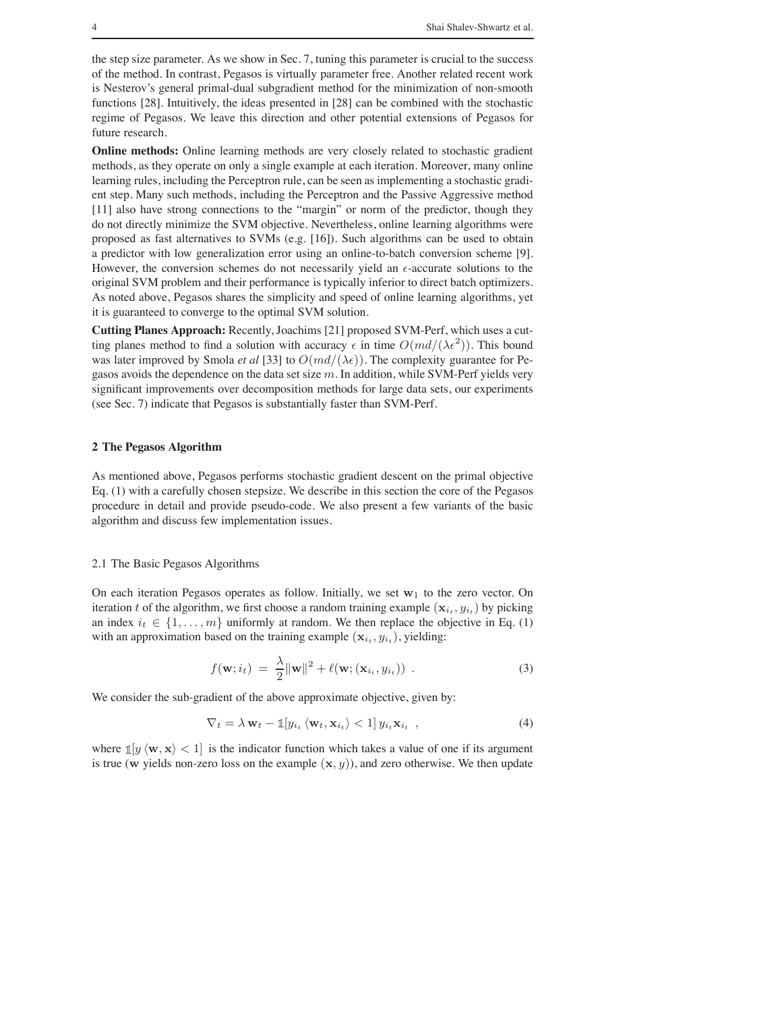the step size parameter. As we show in Sec. 7, tuning this parameter is crucial to the success of the method. In contrast, Pegasos is virtually parameter free. Another related recent work is Nesterov's general primal-dual subgradient method for the minimization of non-smooth functions [28]. Intuitively, the ideas presented in [28] can be combined with the stochastic regime of Pegasos. We leave this direction and other potential extensions of Pegasos for future research.

**Online methods:** Online learning methods are very closely related to stochastic gradient methods, as they operate on only a single example at each iteration. Moreover, many online learning rules, including the Perceptron rule, can be seen as implementing a stochastic gradient step. Many such methods, including the Perceptron and the Passive Aggressive method [11] also have strong connections to the "margin" or norm of the predictor, though they do not directly minimize the SVM objective. Nevertheless, online learning algorithms were proposed as fast alternatives to SVMs (e.g. [16]). Such algorithms can be used to obtain a predictor with low generalization error using an online-to-batch conversion scheme [9]. However, the conversion schemes do not necessarily yield an  $\epsilon$ -accurate solutions to the original SVM problem and their performance is typically inferior to direct batch optimizers. As noted above, Pegasos shares the simplicity and speed of online learning algorithms, yet it is guaranteed to converge to the optimal SVM solution.

**Cutting Planes Approach:** Recently, Joachims [21] proposed SVM-Perf, which uses a cutting planes method to find a solution with accuracy  $\epsilon$  in time  $O(md/(\lambda \epsilon^2))$ . This bound was later improved by Smola *et al* [33] to  $O(md/(\lambda \epsilon))$ . The complexity guarantee for Pegasos avoids the dependence on the data set size  $m$ . In addition, while SVM-Perf yields very significant improvements over decomposition methods for large data sets, our experiments (see Sec. 7) indicate that Pegasos is substantially faster than SVM-Perf.

# **2 The Pegasos Algorithm**

As mentioned above, Pegasos performs stochastic gradient descent on the primal objective Eq. (1) with a carefully chosen stepsize. We describe in this section the core of the Pegasos procedure in detail and provide pseudo-code. We also present a few variants of the basic algorithm and discuss few implementation issues.

# 2.1 The Basic Pegasos Algorithms

On each iteration Pegasos operates as follow. Initially, we set  $w_1$  to the zero vector. On iteration t of the algorithm, we first choose a random training example  $(\mathbf{x}_{i_t}, y_{i_t})$  by picking an index  $i_t \in \{1, \ldots, m\}$  uniformly at random. We then replace the objective in Eq. (1) with an approximation based on the training example  $(\mathbf{x}_{i_t}, y_{i_t})$ , yielding:

$$
f(\mathbf{w}; i_t) = \frac{\lambda}{2} ||\mathbf{w}||^2 + \ell(\mathbf{w}; (\mathbf{x}_{i_t}, y_{i_t}))
$$
 (3)

We consider the sub-gradient of the above approximate objective, given by:

$$
\nabla_t = \lambda \mathbf{w}_t - \mathbb{1}[y_{i_t} \langle \mathbf{w}_t, \mathbf{x}_{i_t} \rangle < 1] y_{i_t} \mathbf{x}_{i_t} , \qquad (4)
$$

where  $\mathbb{1}[y \langle \mathbf{w}, \mathbf{x} \rangle] < 1$  is the indicator function which takes a value of one if its argument is true (w yields non-zero loss on the example  $(x, y)$ ), and zero otherwise. We then update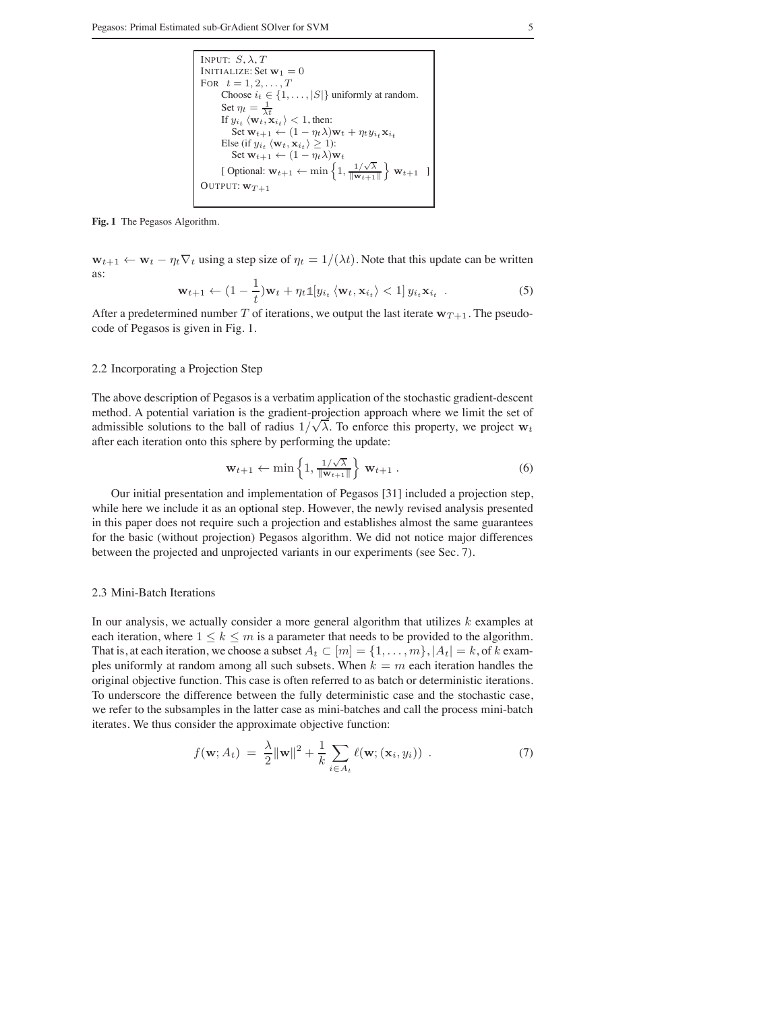INPUT: 
$$
S, \lambda, T
$$

\nINITIALIZE: Set  $\mathbf{w}_1 = 0$ 

\nFOR  $t = 1, 2, \ldots, T$ 

\nChoose  $i_t \in \{1, \ldots, |S|\}$  uniformly at random.

\nSet  $\eta_t = \frac{1}{\lambda t}$ 

\nIf  $y_{i_t} \langle \mathbf{w}_t, \mathbf{x}_{i_t} \rangle < 1$ , then:

\nSet  $\mathbf{w}_{t+1} \leftarrow (1 - \eta_t \lambda) \mathbf{w}_t + \eta_t y_{i_t} \mathbf{x}_{i_t}$ 

\nElse (if  $y_{i_t} \langle \mathbf{w}_t, \mathbf{x}_{i_t} \rangle \geq 1$ ):

\nSet  $\mathbf{w}_{t+1} \leftarrow (1 - \eta_t \lambda) \mathbf{w}_t$ 

\n[Optional:  $\mathbf{w}_{t+1} \leftarrow \min\left\{1, \frac{1/\sqrt{\lambda}}{\|\mathbf{w}_{t+1}\|}\right\} \mathbf{w}_{t+1}$ 

\nOUTPUT:  $\mathbf{w}_{T+1}$ 

#### **Fig. 1** The Pegasos Algorithm.

 $\mathbf{w}_{t+1} \leftarrow \mathbf{w}_t - \eta_t \nabla_t$  using a step size of  $\eta_t = 1/(\lambda t)$ . Note that this update can be written as:

$$
\mathbf{w}_{t+1} \leftarrow (1 - \frac{1}{t}) \mathbf{w}_t + \eta_t \mathbb{1}[y_{i_t} \langle \mathbf{w}_t, \mathbf{x}_{i_t} \rangle < 1] \, y_{i_t} \mathbf{x}_{i_t} \quad . \tag{5}
$$

After a predetermined number T of iterations, we output the last iterate  $w_{T+1}$ . The pseudocode of Pegasos is given in Fig. 1.

# 2.2 Incorporating a Projection Step

The above description of Pegasos is a verbatim application of the stochastic gradient-descent method. A potential variation is the gradient-projection approach where we limit the set of admissible solutions to the ball of radius  $1/\sqrt{\lambda}$ . To enforce this property, we project  $w_t$ after each iteration onto this sphere by performing the update:

$$
\mathbf{w}_{t+1} \leftarrow \min\left\{1, \frac{1/\sqrt{\lambda}}{\|\mathbf{w}_{t+1}\|}\right\} \mathbf{w}_{t+1} . \tag{6}
$$

Our initial presentation and implementation of Pegasos [31] included a projection step, while here we include it as an optional step. However, the newly revised analysis presented in this paper does not require such a projection and establishes almost the same guarantees for the basic (without projection) Pegasos algorithm. We did not notice major differences between the projected and unprojected variants in our experiments (see Sec. 7).

## 2.3 Mini-Batch Iterations

In our analysis, we actually consider a more general algorithm that utilizes  $k$  examples at each iteration, where  $1 \leq k \leq m$  is a parameter that needs to be provided to the algorithm. That is, at each iteration, we choose a subset  $A_t \subset [m] = \{1, \ldots, m\}$ ,  $|A_t| = k$ , of k examples uniformly at random among all such subsets. When  $k = m$  each iteration handles the original objective function. This case is often referred to as batch or deterministic iterations. To underscore the difference between the fully deterministic case and the stochastic case, we refer to the subsamples in the latter case as mini-batches and call the process mini-batch iterates. We thus consider the approximate objective function:

$$
f(\mathbf{w}; A_t) = \frac{\lambda}{2} ||\mathbf{w}||^2 + \frac{1}{k} \sum_{i \in A_t} \ell(\mathbf{w}; (\mathbf{x}_i, y_i))
$$
 (7)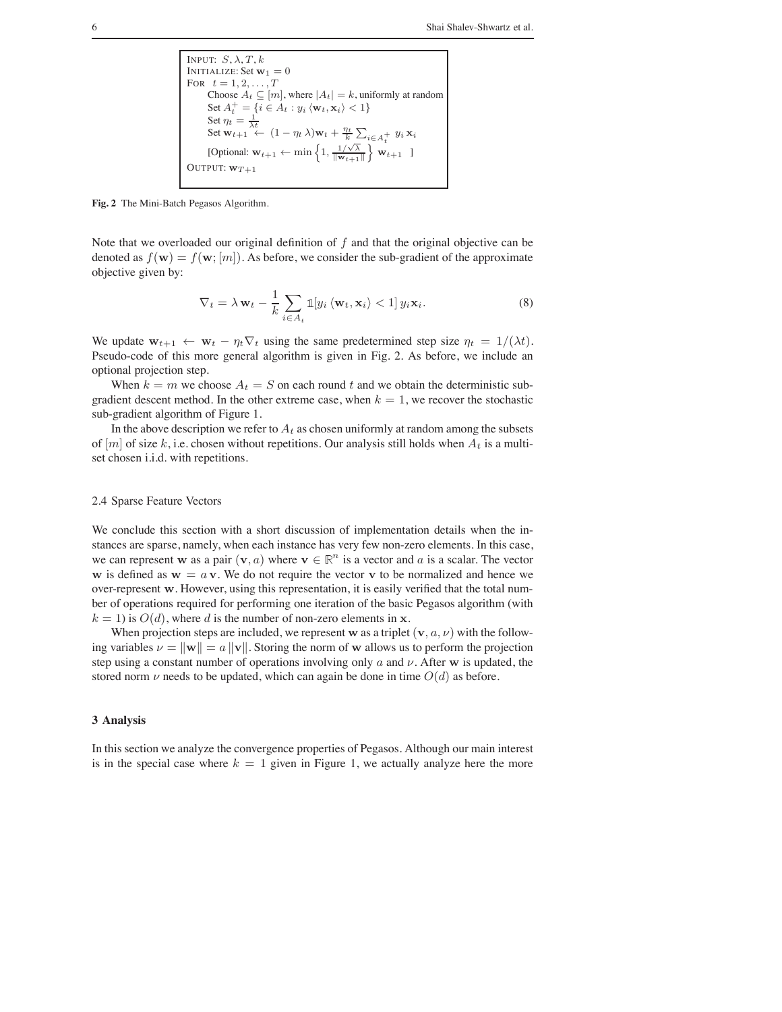INPUT: 
$$
S, \lambda, T, k
$$

\nINITIALIZE: Set  $\mathbf{w}_1 = 0$ 

\nFOR  $t = 1, 2, \ldots, T$ 

\nChoose  $A_t \subseteq [m]$ , where  $|A_t| = k$ , uniformly at random

\nSet  $A_t^+ = \{i \in A_t : y_i \langle \mathbf{w}_t, \mathbf{x}_i \rangle < 1\}$ 

\nSet  $\eta_t = \frac{1}{\lambda t}$ 

\nSet  $\mathbf{w}_{t+1} \leftarrow (1 - \eta_t \lambda) \mathbf{w}_t + \frac{\eta_t}{k} \sum_{i \in A_t^+} y_i \mathbf{x}_i$ 

\n[Optional:  $\mathbf{w}_{t+1} \leftarrow \min \left\{ 1, \frac{1/\sqrt{\lambda}}{\|\mathbf{w}_{t+1}\|}\right\} \mathbf{w}_{t+1}$ ]

\nOUTPUT:  $\mathbf{w}_{T+1}$ 

**Fig. 2** The Mini-Batch Pegasos Algorithm.

Note that we overloaded our original definition of  $f$  and that the original objective can be denoted as  $f(\mathbf{w}) = f(\mathbf{w}; [m])$ . As before, we consider the sub-gradient of the approximate objective given by:

$$
\nabla_t = \lambda \mathbf{w}_t - \frac{1}{k} \sum_{i \in A_t} \mathbb{1}[y_i \langle \mathbf{w}_t, \mathbf{x}_i \rangle < 1] \, y_i \mathbf{x}_i. \tag{8}
$$

We update  $\mathbf{w}_{t+1} \leftarrow \mathbf{w}_t - \eta_t \nabla_t$  using the same predetermined step size  $\eta_t = 1/(\lambda t)$ . Pseudo-code of this more general algorithm is given in Fig. 2. As before, we include an optional projection step.

When  $k = m$  we choose  $A_t = S$  on each round t and we obtain the deterministic subgradient descent method. In the other extreme case, when  $k = 1$ , we recover the stochastic sub-gradient algorithm of Figure 1.

In the above description we refer to  $A_t$  as chosen uniformly at random among the subsets of  $[m]$  of size k, i.e. chosen without repetitions. Our analysis still holds when  $A_t$  is a multiset chosen i.i.d. with repetitions.

#### 2.4 Sparse Feature Vectors

We conclude this section with a short discussion of implementation details when the instances are sparse, namely, when each instance has very few non-zero elements. In this case, we can represent w as a pair  $(v, a)$  where  $v \in \mathbb{R}^n$  is a vector and a is a scalar. The vector w is defined as  $w = a v$ . We do not require the vector v to be normalized and hence we over-represent w. However, using this representation, it is easily verified that the total number of operations required for performing one iteration of the basic Pegasos algorithm (with  $k = 1$ ) is  $O(d)$ , where d is the number of non-zero elements in x.

When projection steps are included, we represent w as a triplet  $(v, a, v)$  with the following variables  $\nu = ||\mathbf{w}|| = a ||\mathbf{v}||$ . Storing the norm of w allows us to perform the projection step using a constant number of operations involving only  $a$  and  $\nu$ . After w is updated, the stored norm  $\nu$  needs to be updated, which can again be done in time  $O(d)$  as before.

## **3 Analysis**

In this section we analyze the convergence properties of Pegasos. Although our main interest is in the special case where  $k = 1$  given in Figure 1, we actually analyze here the more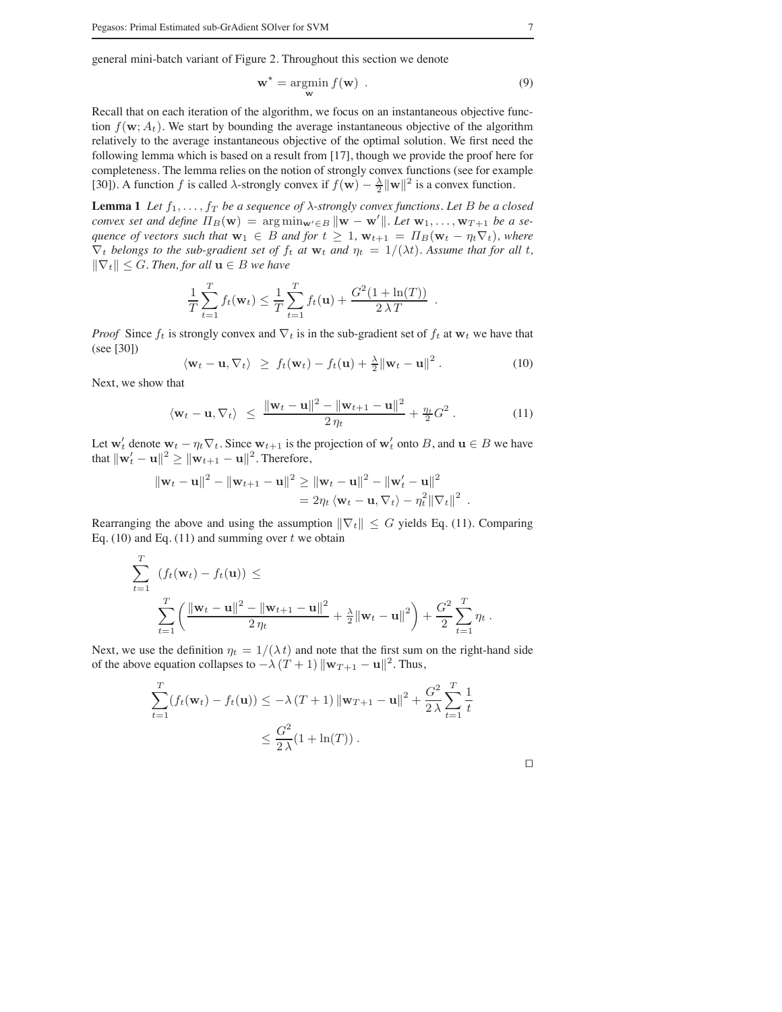general mini-batch variant of Figure 2. Throughout this section we denote

$$
\mathbf{w}^* = \underset{\mathbf{w}}{\text{argmin}} \ f(\mathbf{w}) \ . \tag{9}
$$

Recall that on each iteration of the algorithm, we focus on an instantaneous objective function  $f(\mathbf{w}; A_t)$ . We start by bounding the average instantaneous objective of the algorithm relatively to the average instantaneous objective of the optimal solution. We first need the following lemma which is based on a result from [17], though we provide the proof here for completeness. The lemma relies on the notion of strongly convex functions (see for example [30]). A function f is called  $\lambda$ -strongly convex if  $f(\mathbf{w}) - \frac{\lambda}{2} ||\mathbf{w}||^2$  is a convex function.

**Lemma 1** *Let*  $f_1, \ldots, f_T$  *be a sequence of*  $\lambda$ -strongly convex functions. Let B be a closed *convex set and define*  $\Pi_B(\mathbf{w}) = \arg \min_{\mathbf{w}' \in B} ||\mathbf{w} - \mathbf{w}'||$ . Let  $\mathbf{w}_1, \dots, \mathbf{w}_{T+1}$  be a se*quence of vectors such that*  $\mathbf{w}_1 \in B$  *and for*  $t \geq 1$ ,  $\mathbf{w}_{t+1} = \Pi_B(\mathbf{w}_t - \eta_t \nabla_t)$ , where  $\nabla_t$  *belongs to the sub-gradient set of*  $f_t$  *at*  $w_t$  *and*  $\eta_t = 1/(\lambda t)$ *. Assume that for all t,* ∥∇t∥ ≤ <sup>G</sup>*. Then, for all* <sup>u</sup> <sup>∈</sup> <sup>B</sup> *we have*

$$
\frac{1}{T}\sum_{t=1}^T f_t(\mathbf{w}_t) \leq \frac{1}{T}\sum_{t=1}^T f_t(\mathbf{u}) + \frac{G^2(1+\ln(T))}{2\lambda T}.
$$

*Proof* Since  $f_t$  is strongly convex and  $\nabla_t$  is in the sub-gradient set of  $f_t$  at  $w_t$  we have that (see [30])

$$
\langle \mathbf{w}_t - \mathbf{u}, \nabla_t \rangle \geq f_t(\mathbf{w}_t) - f_t(\mathbf{u}) + \frac{\lambda}{2} ||\mathbf{w}_t - \mathbf{u}||^2. \tag{10}
$$

Next, we show that

$$
\langle \mathbf{w}_t - \mathbf{u}, \nabla_t \rangle \ \leq \ \frac{\|\mathbf{w}_t - \mathbf{u}\|^2 - \|\mathbf{w}_{t+1} - \mathbf{u}\|^2}{2\,\eta_t} + \frac{\eta_t}{2} G^2 \,. \tag{11}
$$

Let  $w'_t$  denote  $w_t - \eta_t \nabla_t$ . Since  $w_{t+1}$  is the projection of  $w'_t$  onto B, and  $u \in B$  we have that  $\|\mathbf{w}'_t - \mathbf{u}\|^2 \geq \|\mathbf{w}_{t+1} - \mathbf{u}\|^2$ . Therefore,

$$
\|\mathbf{w}_t - \mathbf{u}\|^2 - \|\mathbf{w}_{t+1} - \mathbf{u}\|^2 \ge \|\mathbf{w}_t - \mathbf{u}\|^2 - \|\mathbf{w}'_t - \mathbf{u}\|^2
$$
  
=  $2\eta_t \langle \mathbf{w}_t - \mathbf{u}, \nabla_t \rangle - \eta_t^2 \|\nabla_t\|^2$ .

Rearranging the above and using the assumption  $\|\nabla_t\| \leq G$  yields Eq. (11). Comparing Eq. (10) and Eq. (11) and summing over  $t$  we obtain

$$
\sum_{t=1}^{T} (f_t(\mathbf{w}_t) - f_t(\mathbf{u})) \leq
$$
\n
$$
\sum_{t=1}^{T} \left( \frac{\|\mathbf{w}_t - \mathbf{u}\|^2 - \|\mathbf{w}_{t+1} - \mathbf{u}\|^2}{2 \eta_t} + \frac{\lambda}{2} \|\mathbf{w}_t - \mathbf{u}\|^2 \right) + \frac{G^2}{2} \sum_{t=1}^{T} \eta_t.
$$

Next, we use the definition  $\eta_t = 1/(\lambda t)$  and note that the first sum on the right-hand side of the above equation collapses to  $-\lambda (T + 1) ||\mathbf{w}_{T+1} - \mathbf{u}||^2$ . Thus,

$$
\sum_{t=1}^{T} (f_t(\mathbf{w}_t) - f_t(\mathbf{u})) \leq -\lambda (T+1) \|\mathbf{w}_{T+1} - \mathbf{u}\|^2 + \frac{G^2}{2\lambda} \sum_{t=1}^{T} \frac{1}{t}
$$
  
 
$$
\leq \frac{G^2}{2\lambda} (1 + \ln(T)).
$$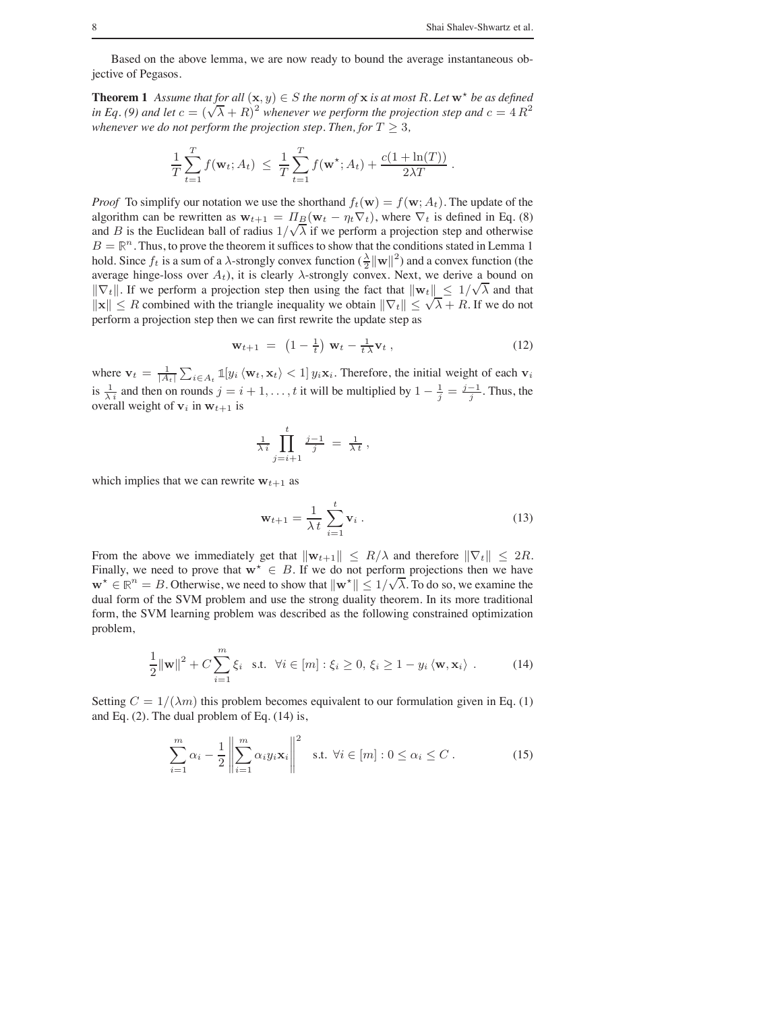Based on the above lemma, we are now ready to bound the average instantaneous objective of Pegasos.

**Theorem 1** Assume that for all  $(\mathbf{x}, y) \in S$  the norm of  $\mathbf{x}$  is at most R. Let  $\mathbf{w}^*$  be as defined *in Eq.* (9) and let  $c = (\sqrt{\lambda} + R)^2$  whenever we perform the projection step and  $c = 4 R^2$ *whenever we do not perform the projection step. Then, for*  $T \geq 3$ *,* 

$$
\frac{1}{T}\sum_{t=1}^T f(\mathbf{w}_t; A_t) \ \leq \ \frac{1}{T}\sum_{t=1}^T f(\mathbf{w}^{\star}; A_t) + \frac{c(1 + \ln(T))}{2\lambda T} \ .
$$

*Proof* To simplify our notation we use the shorthand  $f_t(\mathbf{w}) = f(\mathbf{w}; A_t)$ . The update of the algorithm can be rewritten as  $w_{t+1} = \Pi_B(w_t - \eta_t \nabla_t)$ , where  $\nabla_t$  is defined in Eq. (8) and B is the Euclidean ball of radius  $1/\sqrt{\lambda}$  if we perform a projection step and otherwise  $B = \mathbb{R}^n$ . Thus, to prove the theorem it suffices to show that the conditions stated in Lemma 1 hold. Since  $f_t$  is a sum of a  $\lambda$ -strongly convex function  $(\frac{\lambda}{2} ||\mathbf{w}||^2)$  and a convex function (the average hinge-loss over  $A_t$ ), it is clearly  $\lambda$ -strongly convex. Next, we derive a bound on  $\|\nabla_t\|$ . If we perform a projection step then using the fact that  $\|\mathbf{w}_t\| \leq 1/\sqrt{\lambda}$  and that  $||\mathbf{x}|| \leq R$  combined with the triangle inequality we obtain  $||\nabla_t|| \leq \sqrt{\lambda} + R$ . If we do not perform a projection step then we can first rewrite the update step as

$$
\mathbf{w}_{t+1} = \left(1 - \frac{1}{t}\right) \mathbf{w}_t - \frac{1}{t \lambda} \mathbf{v}_t , \qquad (12)
$$

where  $\mathbf{v}_t = \frac{1}{|A_t|} \sum_{i \in A_t} \mathbb{1}[y_i \langle \mathbf{w}_t, \mathbf{x}_t \rangle < 1] y_i \mathbf{x}_i$ . Therefore, the initial weight of each  $\mathbf{v}_i$ is  $\frac{1}{\lambda i}$  and then on rounds  $j = i + 1, \ldots, t$  it will be multiplied by  $1 - \frac{1}{j} = \frac{j-1}{j}$ . Thus, the overall weight of  $v_i$  in  $w_{t+1}$  is

$$
\frac{1}{\lambda i} \prod_{j=i+1}^t \frac{j-1}{j} = \frac{1}{\lambda t},
$$

which implies that we can rewrite  $w_{t+1}$  as

$$
\mathbf{w}_{t+1} = \frac{1}{\lambda t} \sum_{i=1}^{t} \mathbf{v}_i .
$$
 (13)

From the above we immediately get that  $\|\mathbf{w}_{t+1}\| \leq R/\lambda$  and therefore  $\|\nabla_t\| \leq 2R$ . Finally, we need to prove that  $w^* \in B$ . If we do not perform projections then we have w<sup>★</sup>  $\in \mathbb{R}^n = B$ . Otherwise, we need to show that  $\|\mathbf{w}^*\| \leq 1/\sqrt{\lambda}$ . To do so, we examine the dual form of the SVM problem and use the strong duality theorem. In its more traditional form, the SVM learning problem was described as the following constrained optimization problem,

$$
\frac{1}{2} \|\mathbf{w}\|^2 + C \sum_{i=1}^m \xi_i \quad \text{s.t.} \quad \forall i \in [m] : \xi_i \ge 0, \, \xi_i \ge 1 - y_i \langle \mathbf{w}, \mathbf{x}_i \rangle \tag{14}
$$

Setting  $C = 1/(\lambda m)$  this problem becomes equivalent to our formulation given in Eq. (1) and Eq. (2). The dual problem of Eq. (14) is,

$$
\sum_{i=1}^{m} \alpha_i - \frac{1}{2} \left\| \sum_{i=1}^{m} \alpha_i y_i \mathbf{x}_i \right\|^2 \quad \text{s.t. } \forall i \in [m] : 0 \le \alpha_i \le C \,. \tag{15}
$$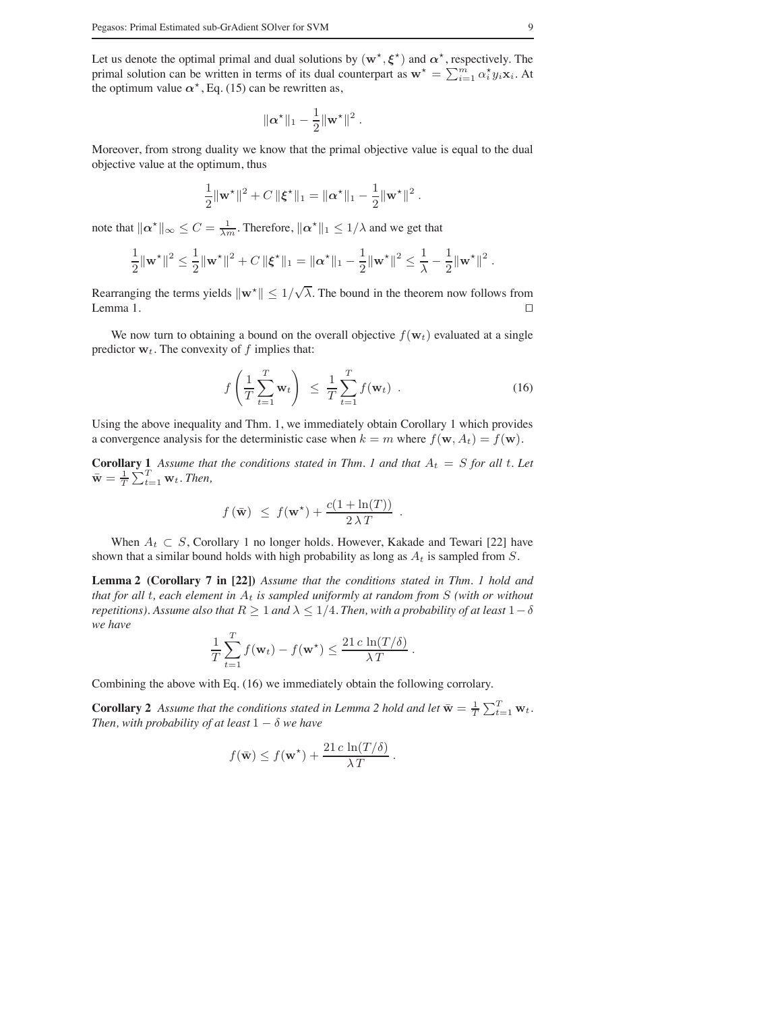Let us denote the optimal primal and dual solutions by  $(w^*, \xi^*)$  and  $\alpha^*$ , respectively. The primal solution can be written in terms of its dual counterpart as  $\mathbf{w}^* = \sum_{i=1}^m \alpha_i^* y_i \mathbf{x}_i$ . At the optimum value  $\alpha^*$ , Eq. (15) can be rewritten as,

$$
\|\boldsymbol{\alpha}^\star\|_1-\frac{1}{2}\|\mathbf{w}^\star\|^2\;.
$$

Moreover, from strong duality we know that the primal objective value is equal to the dual objective value at the optimum, thus

$$
\frac{1}{2} ||\mathbf{w}^{\star}||^{2} + C ||\boldsymbol{\xi}^{\star}||_{1} = ||\boldsymbol{\alpha}^{\star}||_{1} - \frac{1}{2} ||\mathbf{w}^{\star}||^{2}.
$$

note that  $\|\boldsymbol{\alpha}^*\|_{\infty} \leq C = \frac{1}{\lambda m}$ . Therefore,  $\|\boldsymbol{\alpha}^*\|_1 \leq 1/\lambda$  and we get that

$$
\frac{1}{2} \|\mathbf{w}^{\star}\|^2 \leq \frac{1}{2} \|\mathbf{w}^{\star}\|^2 + C \, \|\boldsymbol{\xi}^{\star}\|_1 = \|\boldsymbol{\alpha}^{\star}\|_1 - \frac{1}{2} \|\mathbf{w}^{\star}\|^2 \leq \frac{1}{\lambda} - \frac{1}{2} \|\mathbf{w}^{\star}\|^2.
$$

Rearranging the terms yields  $\|\mathbf{w}^*\| \leq 1/\sqrt{\lambda}$ . The bound in the theorem now follows from Lemma 1.  $\Box$ 

We now turn to obtaining a bound on the overall objective  $f(\mathbf{w}_t)$  evaluated at a single predictor  $w_t$ . The convexity of f implies that:

$$
f\left(\frac{1}{T}\sum_{t=1}^{T}\mathbf{w}_t\right) \leq \frac{1}{T}\sum_{t=1}^{T}f(\mathbf{w}_t) .
$$
 (16)

Using the above inequality and Thm. 1, we immediately obtain Corollary 1 which provides a convergence analysis for the deterministic case when  $k = m$  where  $f(\mathbf{w}, A_t) = f(\mathbf{w})$ .

**Corollary 1** Assume that the conditions stated in Thm. 1 and that  $A_t = S$  for all t. Let  $\bar{\mathbf{w}} = \frac{1}{T} \sum_{t=1}^{T} \mathbf{w}_t$ . Then,

$$
f(\bar{\mathbf{w}}) \leq f(\mathbf{w}^*) + \frac{c(1 + \ln(T))}{2 \lambda T}.
$$

When  $A_t \subset S$ , Corollary 1 no longer holds. However, Kakade and Tewari [22] have shown that a similar bound holds with high probability as long as  $A_t$  is sampled from S.

**Lemma 2 (Corollary 7 in [22])** *Assume that the conditions stated in Thm. 1 hold and that for all t, each element in*  $A_t$  *is sampled uniformly at random from*  $S$  *(with or without repetitions). Assume also that*  $R \geq 1$  *and*  $\lambda \leq 1/4$ *. Then, with a probability of at least*  $1-\delta$ *we have*

$$
\frac{1}{T}\sum_{t=1}^T f(\mathbf{w}_t) - f(\mathbf{w}^*) \le \frac{21 c \ln(T/\delta)}{\lambda T}.
$$

Combining the above with Eq. (16) we immediately obtain the following corrolary.

**Corollary 2** Assume that the conditions stated in Lemma 2 hold and let  $\bar{\mathbf{w}} = \frac{1}{T} \sum_{t=1}^{T} \mathbf{w}_t$ . *Then, with probability of at least*  $1 - \delta$  *we have* 

$$
f(\bar{\mathbf{w}}) \leq f(\mathbf{w}^*) + \frac{21 c \ln(T/\delta)}{\lambda T}.
$$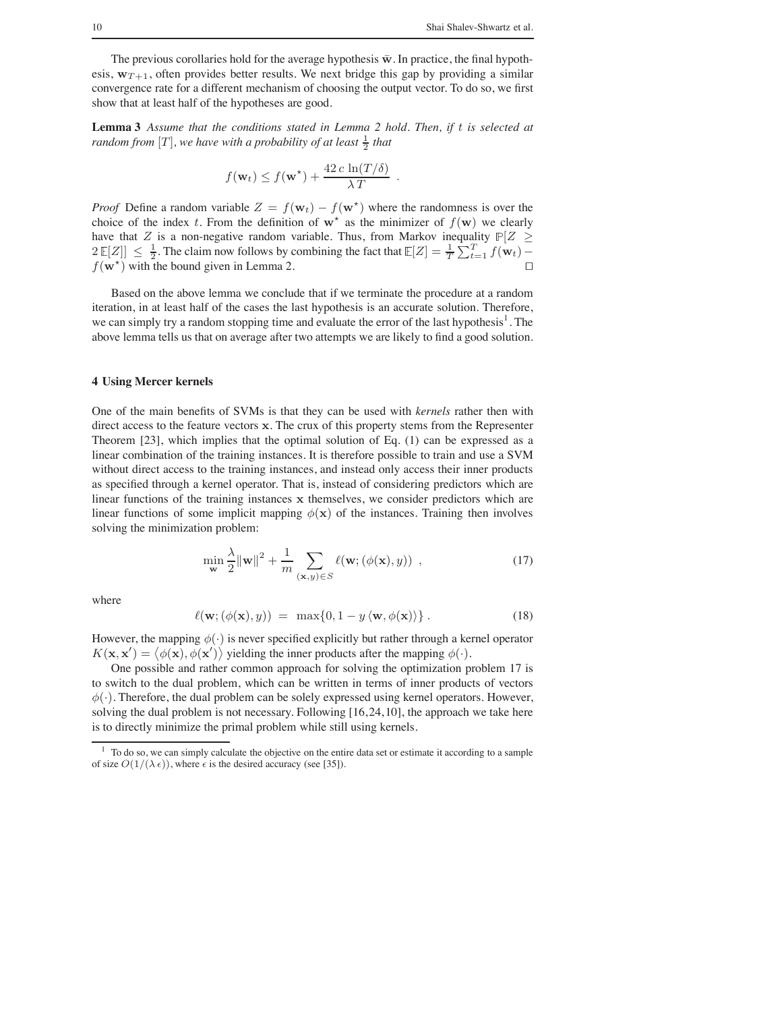The previous corollaries hold for the average hypothesis  $\bar{w}$ . In practice, the final hypothesis,  $w_{T+1}$ , often provides better results. We next bridge this gap by providing a similar convergence rate for a different mechanism of choosing the output vector. To do so, we first show that at least half of the hypotheses are good.

**Lemma 3** *Assume that the conditions stated in Lemma 2 hold. Then, if* t *is selected at*  $r$ andom from  $[T]$ , we have with a probability of at least  $\frac{1}{2}$  that

$$
f(\mathbf{w}_t) \leq f(\mathbf{w}^*) + \frac{42 c \ln(T/\delta)}{\lambda T}.
$$

*Proof* Define a random variable  $Z = f(\mathbf{w}_t) - f(\mathbf{w}^*)$  where the randomness is over the choice of the index t. From the definition of  $w^*$  as the minimizer of  $f(w)$  we clearly have that Z is a non-negative random variable. Thus, from Markov inequality  $\mathbb{P}[Z \geq$  $2 \mathbb{E}[Z] \leq \frac{1}{2}$ . The claim now follows by combining the fact that  $\mathbb{E}[Z] = \frac{1}{T} \sum_{t=1}^{T} f(\mathbf{w}_t)$  $f(\mathbf{w}^*)$  with the bound given in Lemma 2. □

Based on the above lemma we conclude that if we terminate the procedure at a random iteration, in at least half of the cases the last hypothesis is an accurate solution. Therefore, we can simply try a random stopping time and evaluate the error of the last hypothesis<sup>1</sup>. The above lemma tells us that on average after two attempts we are likely to find a good solution.

## **4 Using Mercer kernels**

One of the main benefits of SVMs is that they can be used with *kernels* rather then with direct access to the feature vectors x. The crux of this property stems from the Representer Theorem [23], which implies that the optimal solution of Eq. (1) can be expressed as a linear combination of the training instances. It is therefore possible to train and use a SVM without direct access to the training instances, and instead only access their inner products as specified through a kernel operator. That is, instead of considering predictors which are linear functions of the training instances x themselves, we consider predictors which are linear functions of some implicit mapping  $\phi(\mathbf{x})$  of the instances. Training then involves solving the minimization problem:

$$
\min_{\mathbf{w}} \frac{\lambda}{2} ||\mathbf{w}||^2 + \frac{1}{m} \sum_{(\mathbf{x}, y) \in S} \ell(\mathbf{w}; (\phi(\mathbf{x}), y)) ,
$$
 (17)

where

$$
\ell(\mathbf{w}; (\phi(\mathbf{x}), y)) = \max\{0, 1 - y\langle \mathbf{w}, \phi(\mathbf{x}) \rangle\}.
$$
 (18)

However, the mapping  $\phi(\cdot)$  is never specified explicitly but rather through a kernel operator  $K(\mathbf{x}, \mathbf{x}') = \langle \phi(\mathbf{x}), \phi(\mathbf{x}') \rangle$  yielding the inner products after the mapping  $\phi(\cdot)$ .

One possible and rather common approach for solving the optimization problem 17 is to switch to the dual problem, which can be written in terms of inner products of vectors  $\phi(\cdot)$ . Therefore, the dual problem can be solely expressed using kernel operators. However, solving the dual problem is not necessary. Following  $[16, 24, 10]$ , the approach we take here is to directly minimize the primal problem while still using kernels.

<sup>&</sup>lt;sup>1</sup> To do so, we can simply calculate the objective on the entire data set or estimate it according to a sample of size  $O(1/(\lambda \epsilon))$ , where  $\epsilon$  is the desired accuracy (see [35]).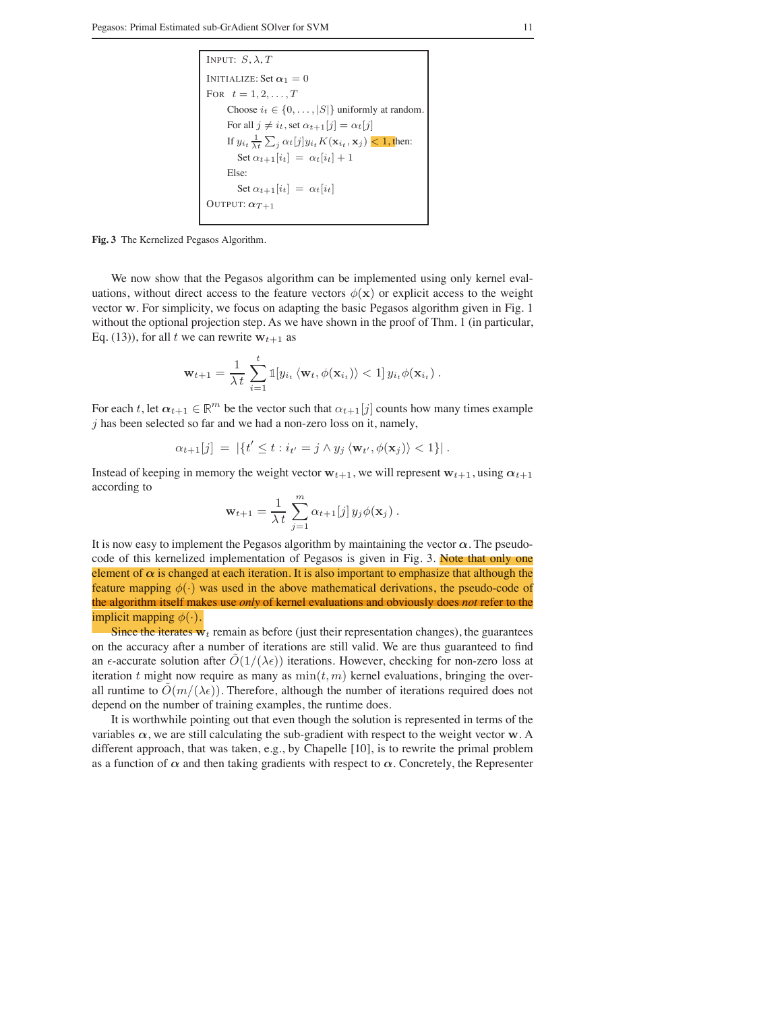```
INPUT: S, \lambda, TINITIALIZE: Set \alpha_1 = 0FOR t=1,2,\ldots,TChoose i_t \in \{0, \ldots, |S|\} uniformly at random.
For all j \neq i_t, set \alpha_{t+1}[j] = \alpha_t[j]If y_{i_t} \frac{1}{\lambda t} \sum_j \alpha_t[j] y_{i_t} K(\mathbf{x}_{i_t}, \mathbf{x}_j) \leq 1, then:
    Set \alpha_{t+1}[i_t] = \alpha_t[i_t]+1Else:
    Set \alpha_{t+1}[i_t] = \alpha_t[i_t]OUTPUT: α_{T+1}
```
**Fig. 3** The Kernelized Pegasos Algorithm.

We now show that the Pegasos algorithm can be implemented using only kernel evaluations, without direct access to the feature vectors  $\phi(\mathbf{x})$  or explicit access to the weight vector w. For simplicity, we focus on adapting the basic Pegasos algorithm given in Fig. 1 without the optional projection step. As we have shown in the proof of Thm. 1 (in particular, Eq. (13)), for all t we can rewrite  $w_{t+1}$  as

$$
\mathbf{w}_{t+1} = \frac{1}{\lambda t} \sum_{i=1}^{t} \mathbb{1}[y_{i_t} \langle \mathbf{w}_t, \phi(\mathbf{x}_{i_t}) \rangle < 1] \, y_{i_t} \phi(\mathbf{x}_{i_t}) \, .
$$

For each t, let  $\alpha_{t+1} \in \mathbb{R}^m$  be the vector such that  $\alpha_{t+1}[j]$  counts how many times example  $j$  has been selected so far and we had a non-zero loss on it, namely,

$$
\alpha_{t+1}[j] = |\{t' \le t : i_{t'} = j \wedge y_j \langle \mathbf{w}_{t'}, \phi(\mathbf{x}_j) \rangle < 1\}|.
$$

Instead of keeping in memory the weight vector  $w_{t+1}$ , we will represent  $w_{t+1}$ , using  $\alpha_{t+1}$ according to

$$
\mathbf{w}_{t+1} = \frac{1}{\lambda t} \sum_{j=1}^{m} \alpha_{t+1}[j] y_j \phi(\mathbf{x}_j).
$$

It is now easy to implement the Pegasos algorithm by maintaining the vector  $\alpha$ . The pseudocode of this kernelized implementation of Pegasos is given in Fig. 3. Note that only one element of  $\alpha$  is changed at each iteration. It is also important to emphasize that although the feature mapping  $\phi(\cdot)$  was used in the above mathematical derivations, the pseudo-code of the algorithm itself makes use *only* of kernel evaluations and obviously does *not* refer to the implicit mapping  $\phi(\cdot)$ .

Since the iterates  $\mathbf{w}_t$  remain as before (just their representation changes), the guarantees on the accuracy after a number of iterations are still valid. We are thus guaranteed to find an  $\epsilon$ -accurate solution after  $\tilde{O}(1/(\lambda \epsilon))$  iterations. However, checking for non-zero loss at iteration t might now require as many as  $\min(t, m)$  kernel evaluations, bringing the overall runtime to  $O(m/(\lambda \epsilon))$ . Therefore, although the number of iterations required does not depend on the number of training examples, the runtime does.

It is worthwhile pointing out that even though the solution is represented in terms of the variables  $\alpha$ , we are still calculating the sub-gradient with respect to the weight vector w. A different approach, that was taken, e.g., by Chapelle [10], is to rewrite the primal problem as a function of  $\alpha$  and then taking gradients with respect to  $\alpha$ . Concretely, the Representer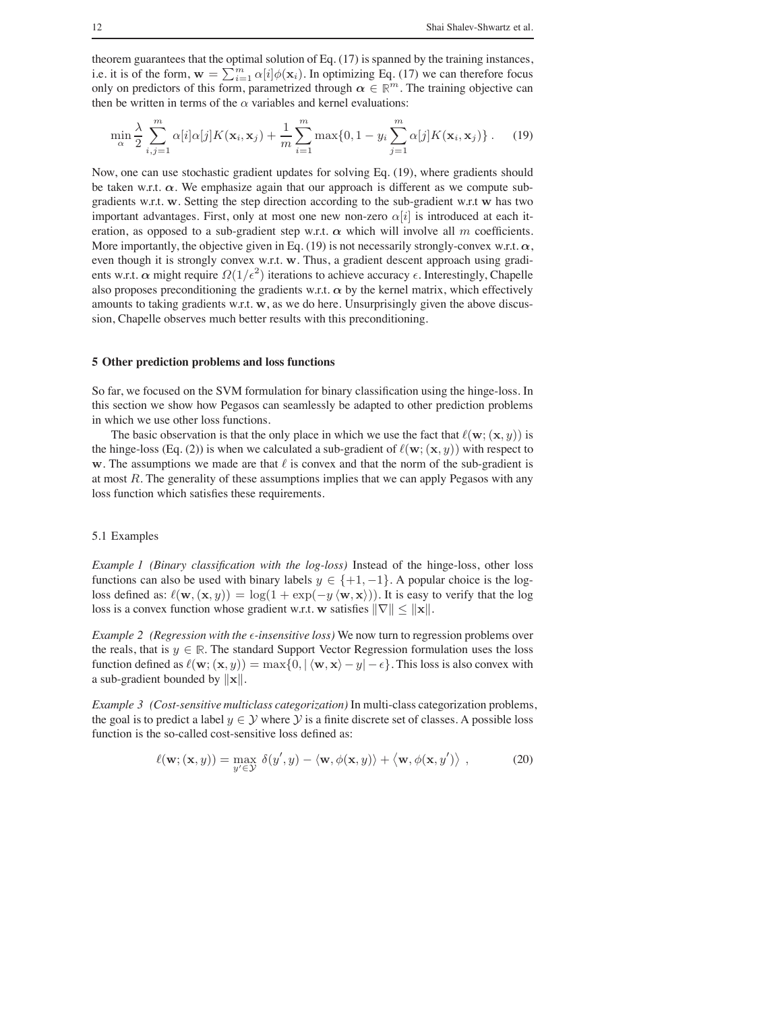theorem guarantees that the optimal solution of Eq. (17) is spanned by the training instances, i.e. it is of the form,  $\mathbf{w} = \sum_{i=1}^{m} \alpha[i] \phi(\mathbf{x}_i)$ . In optimizing Eq. (17) we can therefore focus only on predictors of this form, parametrized through  $\alpha \in \mathbb{R}^m$ . The training objective can then be written in terms of the  $\alpha$  variables and kernel evaluations:

$$
\min_{\alpha} \frac{\lambda}{2} \sum_{i,j=1}^{m} \alpha[i] \alpha[j] K(\mathbf{x}_i, \mathbf{x}_j) + \frac{1}{m} \sum_{i=1}^{m} \max\{0, 1 - y_i \sum_{j=1}^{m} \alpha[j] K(\mathbf{x}_i, \mathbf{x}_j)\}.
$$
 (19)

Now, one can use stochastic gradient updates for solving Eq. (19), where gradients should be taken w.r.t.  $\alpha$ . We emphasize again that our approach is different as we compute subgradients w.r.t. w. Setting the step direction according to the sub-gradient w.r.t w has two important advantages. First, only at most one new non-zero  $\alpha[i]$  is introduced at each iteration, as opposed to a sub-gradient step w.r.t.  $\alpha$  which will involve all m coefficients. More importantly, the objective given in Eq. (19) is not necessarily strongly-convex w.r.t.  $\alpha$ , even though it is strongly convex w.r.t. w. Thus, a gradient descent approach using gradients w.r.t.  $\alpha$  might require  $\Omega(1/\epsilon^2)$  iterations to achieve accuracy  $\epsilon$ . Interestingly, Chapelle also proposes preconditioning the gradients w.r.t.  $\alpha$  by the kernel matrix, which effectively amounts to taking gradients w.r.t. w, as we do here. Unsurprisingly given the above discussion, Chapelle observes much better results with this preconditioning.

## **5 Other prediction problems and loss functions**

So far, we focused on the SVM formulation for binary classification using the hinge-loss. In this section we show how Pegasos can seamlessly be adapted to other prediction problems in which we use other loss functions.

The basic observation is that the only place in which we use the fact that  $\ell(\mathbf{w}; (\mathbf{x}, y))$  is the hinge-loss (Eq. (2)) is when we calculated a sub-gradient of  $\ell(\mathbf{w}; (\mathbf{x}, y))$  with respect to w. The assumptions we made are that  $\ell$  is convex and that the norm of the sub-gradient is at most  $R$ . The generality of these assumptions implies that we can apply Pegasos with any loss function which satisfies these requirements.

## 5.1 Examples

*Example 1 (Binary classification with the log-loss)* Instead of the hinge-loss, other loss functions can also be used with binary labels  $y \in \{+1, -1\}$ . A popular choice is the logloss defined as:  $\ell(\mathbf{w}, (\mathbf{x}, y)) = \log(1 + \exp(-y \langle \mathbf{w}, \mathbf{x} \rangle))$ . It is easy to verify that the log loss is a convex function whose gradient w.r.t. w satisfies  $||\nabla|| \le ||\mathbf{x}||$ .

*Example 2 (Regression with the*  $\epsilon$ *-insensitive loss)* We now turn to regression problems over the reals, that is  $y \in \mathbb{R}$ . The standard Support Vector Regression formulation uses the loss function defined as  $\ell(\mathbf{w}; (\mathbf{x}, y)) = \max\{0, |\langle \mathbf{w}, \mathbf{x} \rangle - y| - \epsilon\}.$  This loss is also convex with a sub-gradient bounded by <sup>∥</sup>x∥.

*Example 3 (Cost-sensitive multiclass categorization)* In multi-class categorization problems, the goal is to predict a label  $y \in Y$  where Y is a finite discrete set of classes. A possible loss function is the so-called cost-sensitive loss defined as:

$$
\ell(\mathbf{w}; (\mathbf{x}, y)) = \max_{y' \in \mathcal{Y}} \delta(y', y) - \langle \mathbf{w}, \phi(\mathbf{x}, y) \rangle + \langle \mathbf{w}, \phi(\mathbf{x}, y') \rangle , \qquad (20)
$$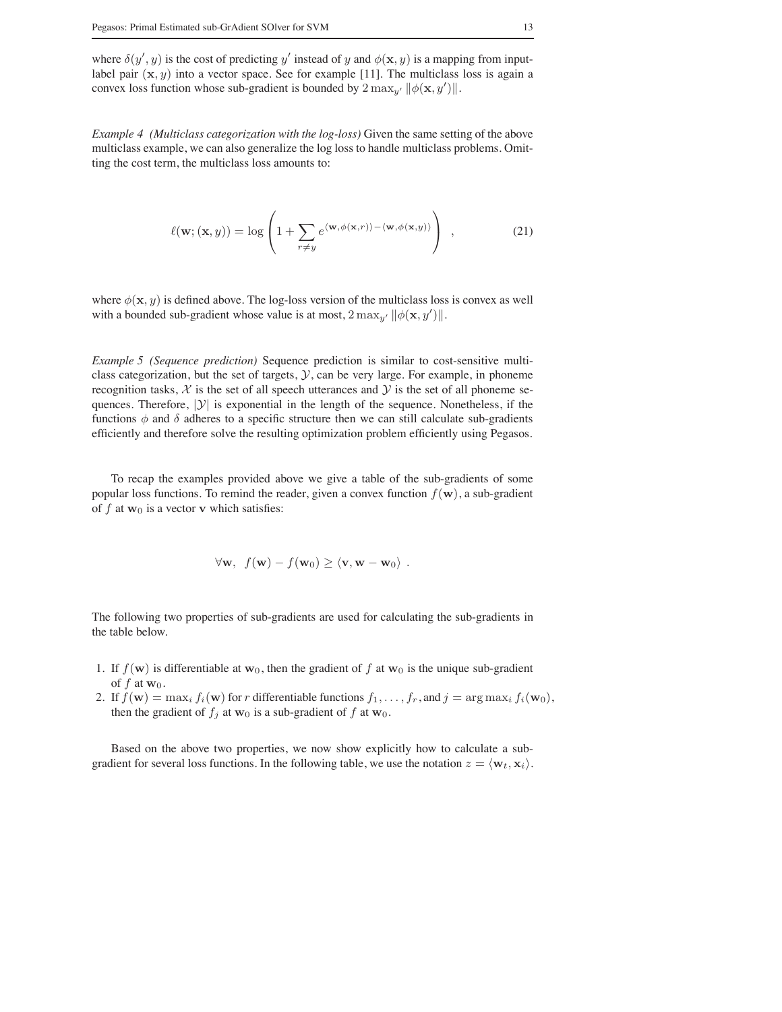where  $\delta(y', y)$  is the cost of predicting y' instead of y and  $\phi(\mathbf{x}, y)$  is a mapping from inputlabel pair  $(x, y)$  into a vector space. See for example [11]. The multiclass loss is again a convex loss function whose sub-gradient is bounded by  $2 \max_{y'} ||\phi(\mathbf{x}, y')||$ .

*Example 4 (Multiclass categorization with the log-loss)* Given the same setting of the above multiclass example, we can also generalize the log loss to handle multiclass problems. Omitting the cost term, the multiclass loss amounts to:

$$
\ell(\mathbf{w}; (\mathbf{x}, y)) = \log \left( 1 + \sum_{r \neq y} e^{\langle \mathbf{w}, \phi(\mathbf{x}, r) \rangle - \langle \mathbf{w}, \phi(\mathbf{x}, y) \rangle} \right) , \qquad (21)
$$

where  $\phi(\mathbf{x}, y)$  is defined above. The log-loss version of the multiclass loss is convex as well with a bounded sub-gradient whose value is at most,  $2 \max_{y'} ||\phi(\mathbf{x}, y')||$ .

*Example 5 (Sequence prediction)* Sequence prediction is similar to cost-sensitive multiclass categorization, but the set of targets,  $\mathcal{Y}$ , can be very large. For example, in phoneme recognition tasks,  $\mathcal X$  is the set of all speech utterances and  $\mathcal Y$  is the set of all phoneme sequences. Therefore,  $|y|$  is exponential in the length of the sequence. Nonetheless, if the functions  $\phi$  and  $\delta$  adheres to a specific structure then we can still calculate sub-gradients efficiently and therefore solve the resulting optimization problem efficiently using Pegasos.

To recap the examples provided above we give a table of the sub-gradients of some popular loss functions. To remind the reader, given a convex function  $f(\mathbf{w})$ , a sub-gradient of f at  $w_0$  is a vector v which satisfies:

$$
\forall \mathbf{w}, \ f(\mathbf{w}) - f(\mathbf{w}_0) \ge \langle \mathbf{v}, \mathbf{w} - \mathbf{w}_0 \rangle.
$$

The following two properties of sub-gradients are used for calculating the sub-gradients in the table below.

- 1. If  $f(\mathbf{w})$  is differentiable at  $\mathbf{w}_0$ , then the gradient of f at  $\mathbf{w}_0$  is the unique sub-gradient of  $f$  at  $w_0$ .
- 2. If  $f(\mathbf{w}) = \max_i f_i(\mathbf{w})$  for r differentiable functions  $f_1, \ldots, f_r$ , and  $j = \arg \max_i f_i(\mathbf{w}_0)$ , then the gradient of  $f_j$  at  $w_0$  is a sub-gradient of f at  $w_0$ .

Based on the above two properties, we now show explicitly how to calculate a subgradient for several loss functions. In the following table, we use the notation  $z = \langle \mathbf{w}_t, \mathbf{x}_i \rangle$ .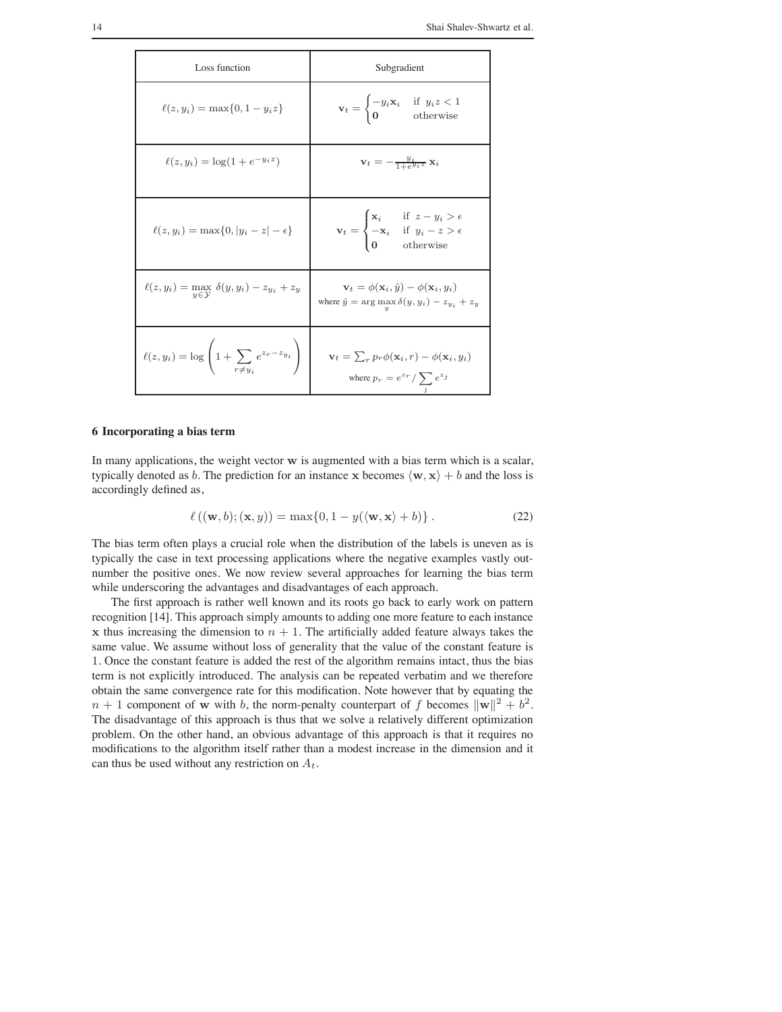| Loss function                                                                | Subgradient                                                                                                                                                      |
|------------------------------------------------------------------------------|------------------------------------------------------------------------------------------------------------------------------------------------------------------|
| $\ell(z, y_i) = \max\{0, 1 - y_i z\}$                                        | $\mathbf{v}_t = \begin{cases} -y_i \mathbf{x}_i & \text{if } y_i z < 1 \\ \mathbf{0} & \text{otherwise} \end{cases}$                                             |
| $\ell(z, y_i) = \log(1 + e^{-y_i z})$                                        | $\mathbf{v}_t = -\frac{y_i}{1+e^{y_i z}} \mathbf{x}_i$                                                                                                           |
| $\ell(z, y_i) = \max\{0,  y_i - z  - \epsilon\}$                             | $\mathbf{v}_t = \begin{cases} \mathbf{x}_i & \text{if } z - y_i > \epsilon \\ -\mathbf{x}_i & \text{if } y_i - z > \epsilon \\ 0 & \text{otherwise} \end{cases}$ |
| $\ell(z, y_i) = \max_{y \in \mathcal{Y}} \delta(y, y_i) - z_{y_i} + z_y$     | $\mathbf{v}_t = \phi(\mathbf{x}_i, \hat{y}) - \phi(\mathbf{x}_i, y_i)$<br>where $\hat{y} = \arg \max_{y} \delta(y, y_i) - z_{y_i} + z_y$                         |
| $\ell(z, y_i) = \log \left( 1 + \sum_{r \neq y_i} e^{z_r - z_{y_i}} \right)$ | $\mathbf{v}_t = \sum_r p_r \phi(\mathbf{x}_i, r) - \phi(\mathbf{x}_i, y_i)$<br>where $p_r = e^{z_r} / \sum e^{z_j}$                                              |

## **6 Incorporating a bias term**

In many applications, the weight vector w is augmented with a bias term which is a scalar, typically denoted as b. The prediction for an instance x becomes  $\langle w, x \rangle + b$  and the loss is accordingly defined as,

$$
\ell((\mathbf{w},b);(\mathbf{x},y)) = \max\{0, 1 - y(\langle \mathbf{w}, \mathbf{x} \rangle + b)\}.
$$
 (22)

The bias term often plays a crucial role when the distribution of the labels is uneven as is typically the case in text processing applications where the negative examples vastly outnumber the positive ones. We now review several approaches for learning the bias term while underscoring the advantages and disadvantages of each approach.

The first approach is rather well known and its roots go back to early work on pattern recognition [14]. This approach simply amounts to adding one more feature to each instance x thus increasing the dimension to  $n + 1$ . The artificially added feature always takes the same value. We assume without loss of generality that the value of the constant feature is 1. Once the constant feature is added the rest of the algorithm remains intact, thus the bias term is not explicitly introduced. The analysis can be repeated verbatim and we therefore obtain the same convergence rate for this modification. Note however that by equating the  $n + 1$  component of w with b, the norm-penalty counterpart of f becomes  $\|\mathbf{w}\|^2 + b^2$ . The disadvantage of this approach is thus that we solve a relatively different optimization problem. On the other hand, an obvious advantage of this approach is that it requires no modifications to the algorithm itself rather than a modest increase in the dimension and it can thus be used without any restriction on  $A_t$ .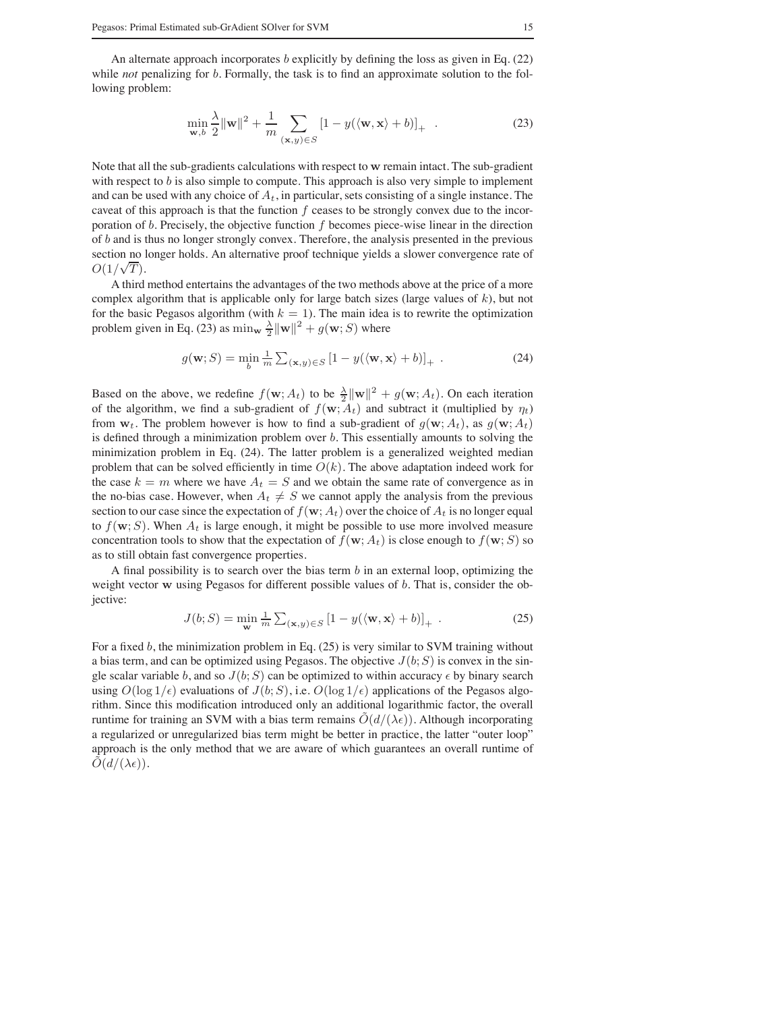An alternate approach incorporates  $b$  explicitly by defining the loss as given in Eq. (22) while *not* penalizing for b. Formally, the task is to find an approximate solution to the following problem:

$$
\min_{\mathbf{w},b} \frac{\lambda}{2} ||\mathbf{w}||^2 + \frac{1}{m} \sum_{(\mathbf{x},y) \in S} \left[1 - y(\langle \mathbf{w}, \mathbf{x} \rangle + b)\right]_+ \tag{23}
$$

Note that all the sub-gradients calculations with respect to w remain intact. The sub-gradient with respect to  $b$  is also simple to compute. This approach is also very simple to implement and can be used with any choice of  $A_t$ , in particular, sets consisting of a single instance. The caveat of this approach is that the function  $f$  ceases to be strongly convex due to the incorporation of  $b$ . Precisely, the objective function  $f$  becomes piece-wise linear in the direction of b and is thus no longer strongly convex. Therefore, the analysis presented in the previous section no longer holds. An alternative proof technique yields a slower convergence rate of  $O(1/\sqrt{T})$ .

A third method entertains the advantages of the two methods above at the price of a more complex algorithm that is applicable only for large batch sizes (large values of  $k$ ), but not for the basic Pegasos algorithm (with  $k = 1$ ). The main idea is to rewrite the optimization problem given in Eq. (23) as  $\min_{\mathbf{w}} \frac{\lambda}{2} ||\mathbf{w}||^2 + g(\mathbf{w}; S)$  where

$$
g(\mathbf{w}; S) = \min_{b} \frac{1}{m} \sum_{(\mathbf{x}, y) \in S} \left[1 - y(\langle \mathbf{w}, \mathbf{x} \rangle + b)\right]_{+} \tag{24}
$$

Based on the above, we redefine  $f(\mathbf{w}; A_t)$  to be  $\frac{\lambda}{2} ||\mathbf{w}||^2 + g(\mathbf{w}; A_t)$ . On each iteration of the algorithm, we find a sub-gradient of  $f(\mathbf{w}; A_t)$  and subtract it (multiplied by  $\eta_t$ ) from  $w_t$ . The problem however is how to find a sub-gradient of  $q(w; A_t)$ , as  $q(w; A_t)$ is defined through a minimization problem over  $b$ . This essentially amounts to solving the minimization problem in Eq. (24). The latter problem is a generalized weighted median problem that can be solved efficiently in time  $O(k)$ . The above adaptation indeed work for the case  $k = m$  where we have  $A_t = S$  and we obtain the same rate of convergence as in the no-bias case. However, when  $A_t \neq S$  we cannot apply the analysis from the previous section to our case since the expectation of  $f(\mathbf{w}; A_t)$  over the choice of  $A_t$  is no longer equal to  $f(\mathbf{w}; S)$ . When  $A_t$  is large enough, it might be possible to use more involved measure concentration tools to show that the expectation of  $f(\mathbf{w}; A_t)$  is close enough to  $f(\mathbf{w}; S)$  so as to still obtain fast convergence properties.

A final possibility is to search over the bias term  $b$  in an external loop, optimizing the weight vector w using Pegasos for different possible values of b. That is, consider the objective:

$$
J(b;S) = \min_{\mathbf{w}} \frac{1}{m} \sum_{(\mathbf{x},y) \in S} \left[1 - y(\langle \mathbf{w}, \mathbf{x} \rangle + b)\right]_+ \,. \tag{25}
$$

For a fixed b, the minimization problem in Eq. (25) is very similar to SVM training without a bias term, and can be optimized using Pegasos. The objective  $J(b;S)$  is convex in the single scalar variable b, and so  $J(b;S)$  can be optimized to within accuracy  $\epsilon$  by binary search using  $O(\log 1/\epsilon)$  evaluations of  $J(b; S)$ , i.e.  $O(\log 1/\epsilon)$  applications of the Pegasos algorithm. Since this modification introduced only an additional logarithmic factor, the overall runtime for training an SVM with a bias term remains  $O(d/(\lambda \epsilon))$ . Although incorporating a regularized or unregularized bias term might be better in practice, the latter "outer loop" approach is the only method that we are aware of which guarantees an overall runtime of  $O(d/(\lambda\epsilon)).$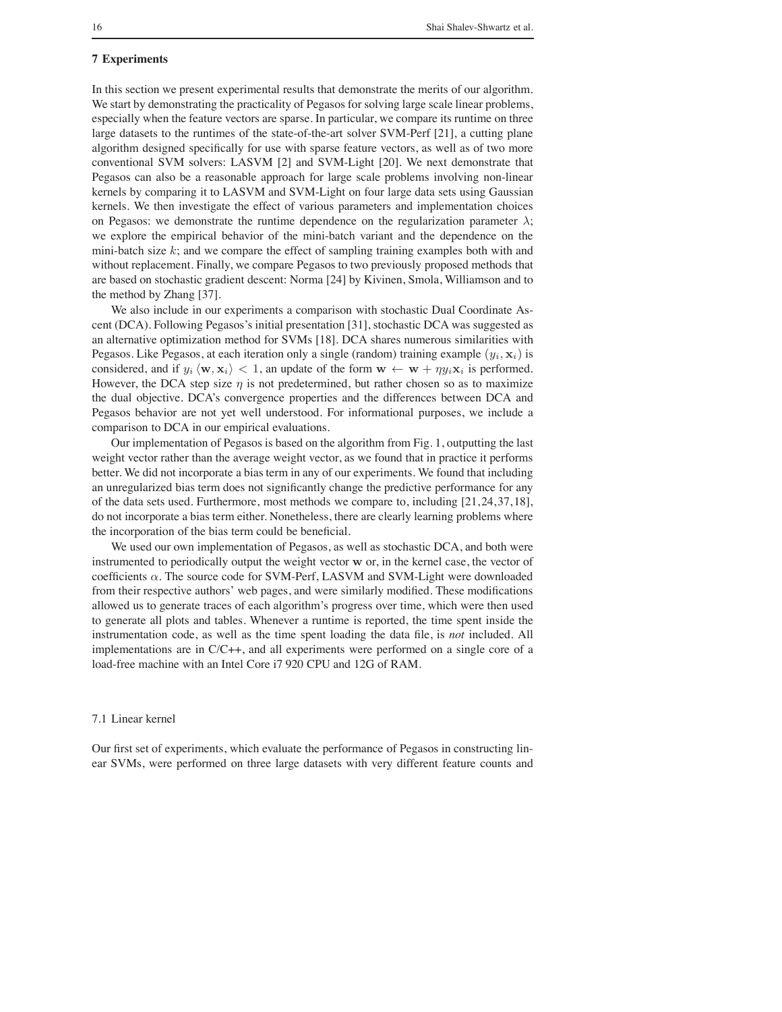## **7 Experiments**

In this section we present experimental results that demonstrate the merits of our algorithm. We start by demonstrating the practicality of Pegasos for solving large scale linear problems, especially when the feature vectors are sparse. In particular, we compare its runtime on three large datasets to the runtimes of the state-of-the-art solver SVM-Perf [21], a cutting plane algorithm designed specifically for use with sparse feature vectors, as well as of two more conventional SVM solvers: LASVM [2] and SVM-Light [20]. We next demonstrate that Pegasos can also be a reasonable approach for large scale problems involving non-linear kernels by comparing it to LASVM and SVM-Light on four large data sets using Gaussian kernels. We then investigate the effect of various parameters and implementation choices on Pegasos: we demonstrate the runtime dependence on the regularization parameter  $\lambda$ ; we explore the empirical behavior of the mini-batch variant and the dependence on the mini-batch size  $k$ ; and we compare the effect of sampling training examples both with and without replacement. Finally, we compare Pegasos to two previously proposed methods that are based on stochastic gradient descent: Norma [24] by Kivinen, Smola, Williamson and to the method by Zhang [37].

We also include in our experiments a comparison with stochastic Dual Coordinate Ascent (DCA). Following Pegasos's initial presentation [31], stochastic DCA was suggested as an alternative optimization method for SVMs [18]. DCA shares numerous similarities with Pegasos. Like Pegasos, at each iteration only a single (random) training example  $(y_i, x_i)$  is considered, and if  $y_i \langle \mathbf{w}, \mathbf{x}_i \rangle < 1$ , an update of the form  $\mathbf{w} \leftarrow \mathbf{w} + \eta y_i \mathbf{x}_i$  is performed. However, the DCA step size  $\eta$  is not predetermined, but rather chosen so as to maximize the dual objective. DCA's convergence properties and the differences between DCA and Pegasos behavior are not yet well understood. For informational purposes, we include a comparison to DCA in our empirical evaluations.

Our implementation of Pegasos is based on the algorithm from Fig. 1, outputting the last weight vector rather than the average weight vector, as we found that in practice it performs better. We did not incorporate a bias term in any of our experiments. We found that including an unregularized bias term does not significantly change the predictive performance for any of the data sets used. Furthermore, most methods we compare to, including [21, 24, 37, 18], do not incorporate a bias term either. Nonetheless, there are clearly learning problems where the incorporation of the bias term could be beneficial.

We used our own implementation of Pegasos, as well as stochastic DCA, and both were instrumented to periodically output the weight vector w or, in the kernel case, the vector of coefficients  $\alpha$ . The source code for SVM-Perf, LASVM and SVM-Light were downloaded from their respective authors' web pages, and were similarly modified. These modifications allowed us to generate traces of each algorithm's progress over time, which were then used to generate all plots and tables. Whenever a runtime is reported, the time spent inside the instrumentation code, as well as the time spent loading the data file, is *not* included. All implementations are in C/C++, and all experiments were performed on a single core of a load-free machine with an Intel Core i7 920 CPU and 12G of RAM.

# 7.1 Linear kernel

Our first set of experiments, which evaluate the performance of Pegasos in constructing linear SVMs, were performed on three large datasets with very different feature counts and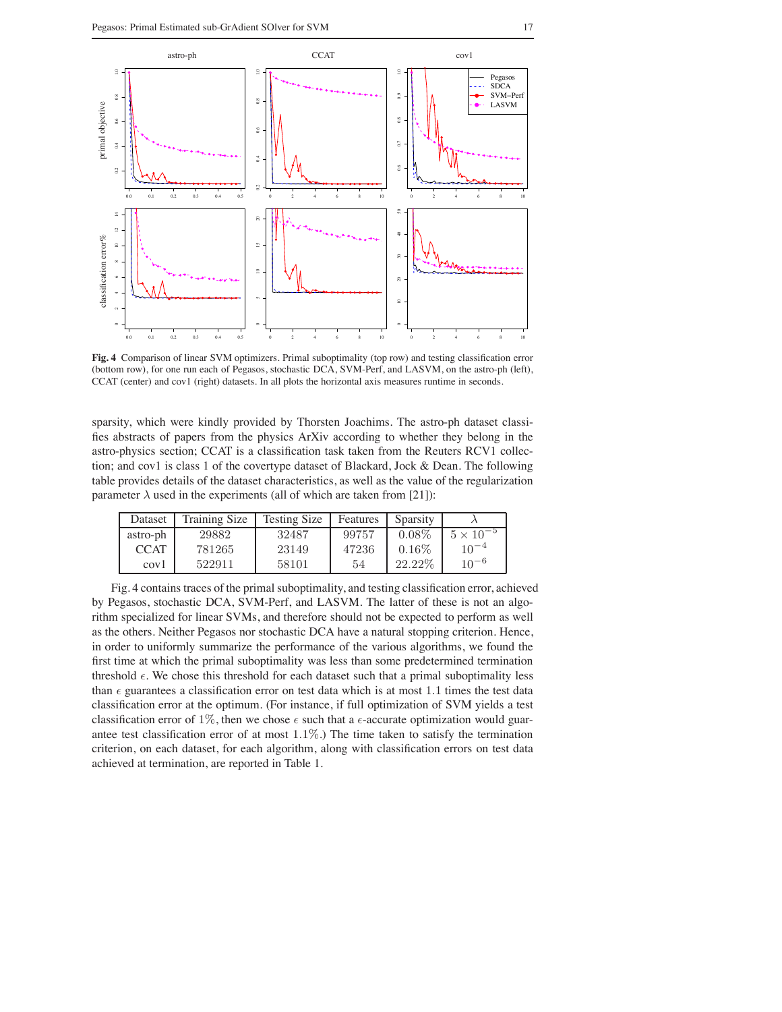

**Fig. 4** Comparison of linear SVM optimizers. Primal suboptimality (top row) and testing classification error (bottom row), for one run each of Pegasos, stochastic DCA, SVM-Perf, and LASVM, on the astro-ph (left), CCAT (center) and cov1 (right) datasets. In all plots the horizontal axis measures runtime in seconds.

sparsity, which were kindly provided by Thorsten Joachims. The astro-ph dataset classifies abstracts of papers from the physics ArXiv according to whether they belong in the astro-physics section; CCAT is a classification task taken from the Reuters RCV1 collection; and cov1 is class 1 of the covertype dataset of Blackard, Jock & Dean. The following table provides details of the dataset characteristics, as well as the value of the regularization parameter  $\lambda$  used in the experiments (all of which are taken from [21]):

| Dataset          | Training Size | <b>Testing Size</b> | Features | Sparsity |                    |
|------------------|---------------|---------------------|----------|----------|--------------------|
| astro-ph         | 29882         | 32487               | 99757    | $0.08\%$ | $5 \times 10^{-5}$ |
| CCAT             | 781265        | 23149               | 47236    | $0.16\%$ | $10^{-4}$          |
| cov <sub>1</sub> | 522911        | 58101               | 54       | 22.22\%  | $10^{-6}$          |

Fig. 4 contains traces of the primal suboptimality, and testing classification error, achieved by Pegasos, stochastic DCA, SVM-Perf, and LASVM. The latter of these is not an algorithm specialized for linear SVMs, and therefore should not be expected to perform as well as the others. Neither Pegasos nor stochastic DCA have a natural stopping criterion. Hence, in order to uniformly summarize the performance of the various algorithms, we found the first time at which the primal suboptimality was less than some predetermined termination threshold  $\epsilon$ . We chose this threshold for each dataset such that a primal suboptimality less than  $\epsilon$  guarantees a classification error on test data which is at most 1.1 times the test data classification error at the optimum. (For instance, if full optimization of SVM yields a test classification error of 1%, then we chose  $\epsilon$  such that a  $\epsilon$ -accurate optimization would guarantee test classification error of at most  $1.1\%$ .) The time taken to satisfy the termination criterion, on each dataset, for each algorithm, along with classification errors on test data achieved at termination, are reported in Table 1.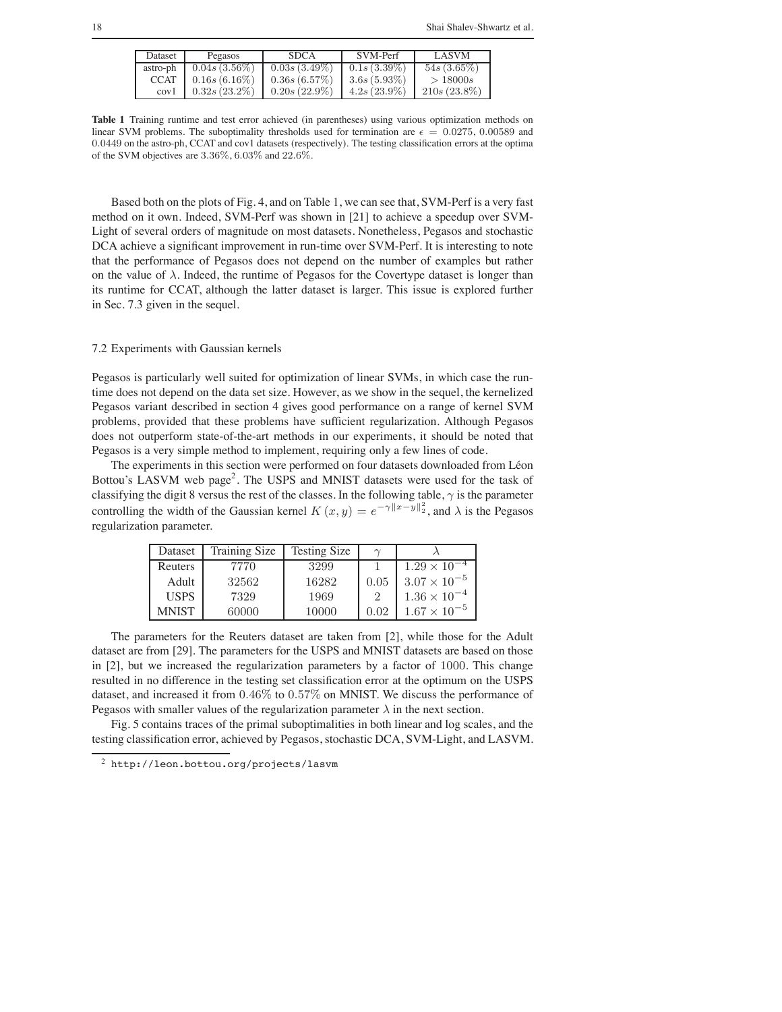| Dataset          | Pegasos         | SDCA.           | SVM-Perf       | LASVM          |
|------------------|-----------------|-----------------|----------------|----------------|
| astro-ph         | $0.04s(3.56\%)$ | $0.03s(3.49\%)$ | $0.1s(3.39\%)$ | $54s(3.65\%)$  |
| <b>CCAT</b>      | $0.16s(6.16\%)$ | 0.36s(6.57%)    | $3.6s(5.93\%)$ | >18000s        |
| cov <sub>1</sub> | $0.32s(23.2\%)$ | $0.20s(22.9\%)$ | $4.2s(23.9\%)$ | $210s(23.8\%)$ |

**Table 1** Training runtime and test error achieved (in parentheses) using various optimization methods on linear SVM problems. The suboptimality thresholds used for termination are  $\epsilon = 0.0275, 0.00589$  and 0.0449 on the astro-ph, CCAT and cov1 datasets (respectively). The testing classification errors at the optima of the SVM objectives are 3.36%, 6.03% and 22.6%.

Based both on the plots of Fig. 4, and on Table 1, we can see that, SVM-Perf is a very fast method on it own. Indeed, SVM-Perf was shown in [21] to achieve a speedup over SVM-Light of several orders of magnitude on most datasets. Nonetheless, Pegasos and stochastic DCA achieve a significant improvement in run-time over SVM-Perf. It is interesting to note that the performance of Pegasos does not depend on the number of examples but rather on the value of  $\lambda$ . Indeed, the runtime of Pegasos for the Covertype dataset is longer than its runtime for CCAT, although the latter dataset is larger. This issue is explored further in Sec. 7.3 given in the sequel.

## 7.2 Experiments with Gaussian kernels

Pegasos is particularly well suited for optimization of linear SVMs, in which case the runtime does not depend on the data set size. However, as we show in the sequel, the kernelized Pegasos variant described in section 4 gives good performance on a range of kernel SVM problems, provided that these problems have sufficient regularization. Although Pegasos does not outperform state-of-the-art methods in our experiments, it should be noted that Pegasos is a very simple method to implement, requiring only a few lines of code.

The experiments in this section were performed on four datasets downloaded from Léon Bottou's LASVM web page<sup>2</sup>. The USPS and MNIST datasets were used for the task of classifying the digit 8 versus the rest of the classes. In the following table,  $\gamma$  is the parameter controlling the width of the Gaussian kernel  $K(x, y) = e^{-\gamma ||x - y||_2^2}$ , and  $\lambda$  is the Pegasos regularization parameter.

| Dataset     | <b>Training Size</b> | <b>Testing Size</b> | $\sim$ |                       |
|-------------|----------------------|---------------------|--------|-----------------------|
| Reuters     | 7770                 | 3299                |        | $1.29 \times 10^{-4}$ |
| Adult       | 32562                | 16282               | 0.05   | $3.07 \times 10^{-5}$ |
| <b>USPS</b> | 7329                 | 1969                |        | $1.36 \times 10^{-4}$ |
| MNIST       | 60000                | 10000               | 0.02   | $1.67 \times 10^{-5}$ |

The parameters for the Reuters dataset are taken from [2], while those for the Adult dataset are from [29]. The parameters for the USPS and MNIST datasets are based on those in [2], but we increased the regularization parameters by a factor of 1000. This change resulted in no difference in the testing set classification error at the optimum on the USPS dataset, and increased it from 0.46% to 0.57% on MNIST. We discuss the performance of Pegasos with smaller values of the regularization parameter  $\lambda$  in the next section.

Fig. 5 contains traces of the primal suboptimalities in both linear and log scales, and the testing classification error, achieved by Pegasos, stochastic DCA, SVM-Light, and LASVM.

<sup>2</sup> http://leon.bottou.org/projects/lasvm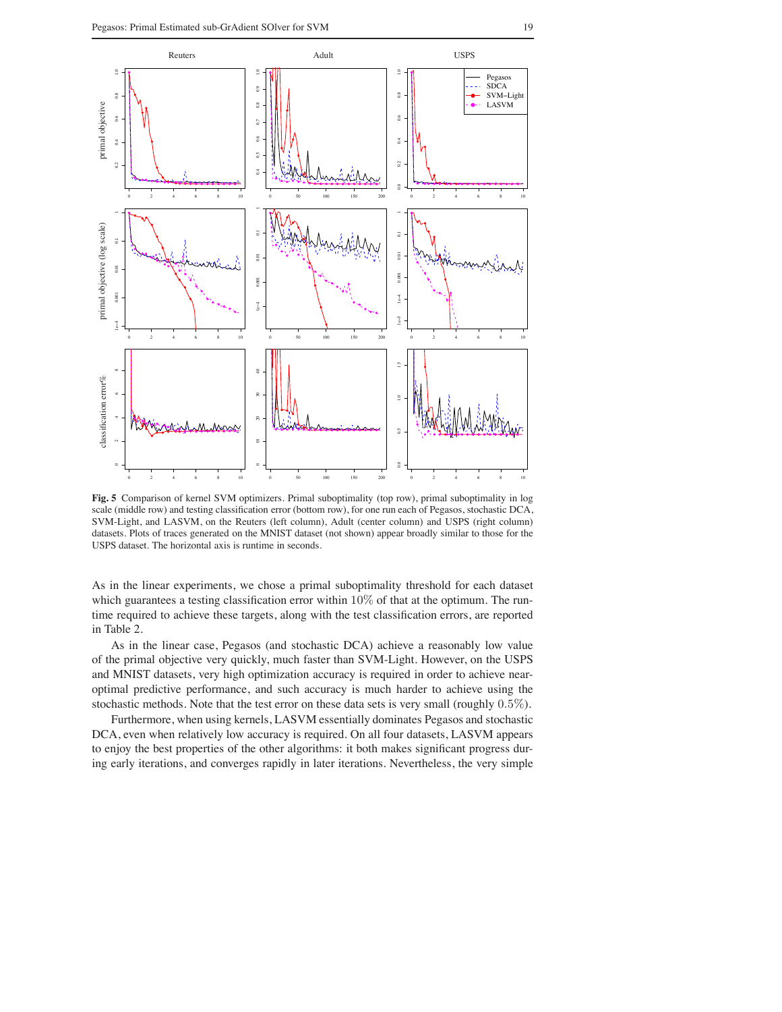

**Fig. 5** Comparison of kernel SVM optimizers. Primal suboptimality (top row), primal suboptimality in log scale (middle row) and testing classification error (bottom row), for one run each of Pegasos, stochastic DCA, SVM-Light, and LASVM, on the Reuters (left column), Adult (center column) and USPS (right column) datasets. Plots of traces generated on the MNIST dataset (not shown) appear broadly similar to those for the USPS dataset. The horizontal axis is runtime in seconds.

As in the linear experiments, we chose a primal suboptimality threshold for each dataset which guarantees a testing classification error within  $10\%$  of that at the optimum. The runtime required to achieve these targets, along with the test classification errors, are reported in Table 2.

As in the linear case, Pegasos (and stochastic DCA) achieve a reasonably low value of the primal objective very quickly, much faster than SVM-Light. However, on the USPS and MNIST datasets, very high optimization accuracy is required in order to achieve nearoptimal predictive performance, and such accuracy is much harder to achieve using the stochastic methods. Note that the test error on these data sets is very small (roughly 0.5%).

Furthermore, when using kernels, LASVM essentially dominates Pegasos and stochastic DCA, even when relatively low accuracy is required. On all four datasets, LASVM appears to enjoy the best properties of the other algorithms: it both makes significant progress during early iterations, and converges rapidly in later iterations. Nevertheless, the very simple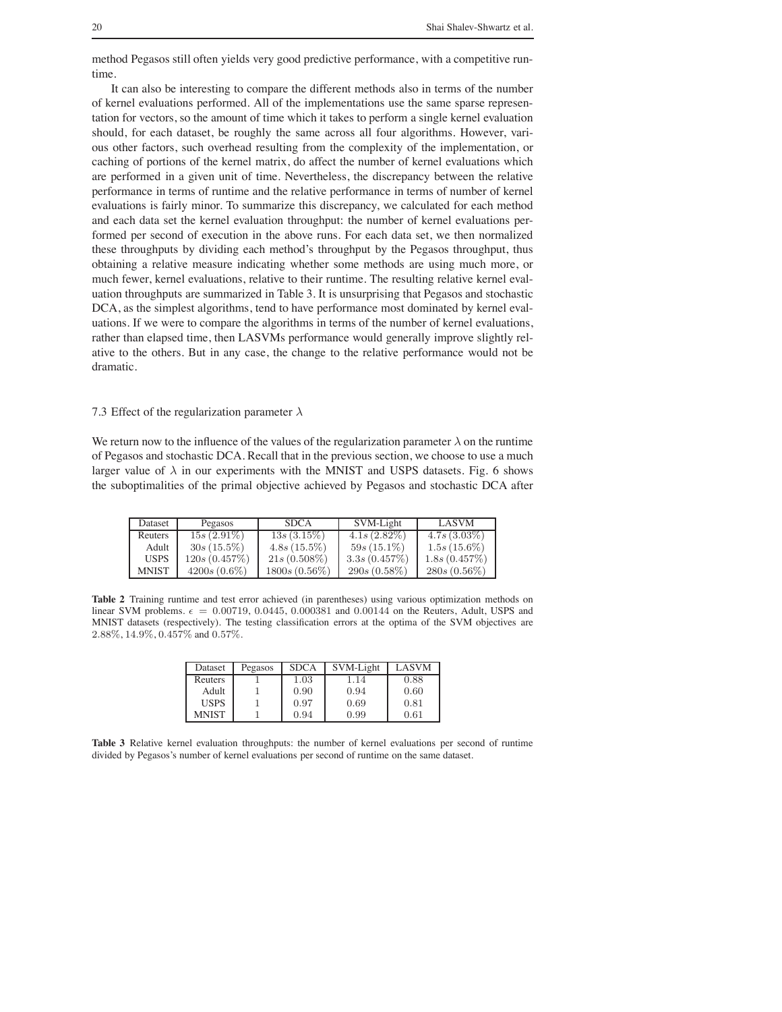method Pegasos still often yields very good predictive performance, with a competitive runtime.

It can also be interesting to compare the different methods also in terms of the number of kernel evaluations performed. All of the implementations use the same sparse representation for vectors, so the amount of time which it takes to perform a single kernel evaluation should, for each dataset, be roughly the same across all four algorithms. However, various other factors, such overhead resulting from the complexity of the implementation, or caching of portions of the kernel matrix, do affect the number of kernel evaluations which are performed in a given unit of time. Nevertheless, the discrepancy between the relative performance in terms of runtime and the relative performance in terms of number of kernel evaluations is fairly minor. To summarize this discrepancy, we calculated for each method and each data set the kernel evaluation throughput: the number of kernel evaluations performed per second of execution in the above runs. For each data set, we then normalized these throughputs by dividing each method's throughput by the Pegasos throughput, thus obtaining a relative measure indicating whether some methods are using much more, or much fewer, kernel evaluations, relative to their runtime. The resulting relative kernel evaluation throughputs are summarized in Table 3. It is unsurprising that Pegasos and stochastic DCA, as the simplest algorithms, tend to have performance most dominated by kernel evaluations. If we were to compare the algorithms in terms of the number of kernel evaluations, rather than elapsed time, then LASVMs performance would generally improve slightly relative to the others. But in any case, the change to the relative performance would not be dramatic.

## 7.3 Effect of the regularization parameter  $\lambda$

We return now to the influence of the values of the regularization parameter  $\lambda$  on the runtime of Pegasos and stochastic DCA. Recall that in the previous section, we choose to use a much larger value of  $\lambda$  in our experiments with the MNIST and USPS datasets. Fig. 6 shows the suboptimalities of the primal objective achieved by Pegasos and stochastic DCA after

| Dataset      | Pegasos        | <b>SDCA</b>     | SVM-Light      | LASVM          |
|--------------|----------------|-----------------|----------------|----------------|
| Reuters      | $15s(2.91\%)$  | $13s(3.15\%)$   | $4.1s(2.82\%)$ | $4.7s(3.03\%)$ |
| Adult        | $30s(15.5\%)$  | $4.8s(15.5\%)$  | $59s(15.1\%)$  | $1.5s(15.6\%)$ |
| <b>USPS</b>  | 120s(0.457%)   | $21s(0.508\%)$  | 3.3s(0.457%)   | 1.8s(0.457%)   |
| <b>MNIST</b> | $4200s(0.6\%)$ | $1800s(0.56\%)$ | $290s(0.58\%)$ | $280s(0.56\%)$ |

**Table 2** Training runtime and test error achieved (in parentheses) using various optimization methods on linear SVM problems.  $\epsilon = 0.00719, 0.0445, 0.000381$  and 0.00144 on the Reuters, Adult, USPS and MNIST datasets (respectively). The testing classification errors at the optima of the SVM objectives are 2.88%, 14.9%, 0.457% and 0.57%.

| Dataset     | Pegasos | <b>SDCA</b> | SVM-Light | <b>LASVM</b> |
|-------------|---------|-------------|-----------|--------------|
| Reuters     |         | $1.03\,$    | 1.14      | 0.88         |
| Adult       |         | 0.90        | 0.94      | 0.60         |
| <b>USPS</b> |         | 0.97        | 0.69      | 0.81         |
| MNIST       |         | 0.94        | 0.99      | 0.61         |

**Table 3** Relative kernel evaluation throughputs: the number of kernel evaluations per second of runtime divided by Pegasos's number of kernel evaluations per second of runtime on the same dataset.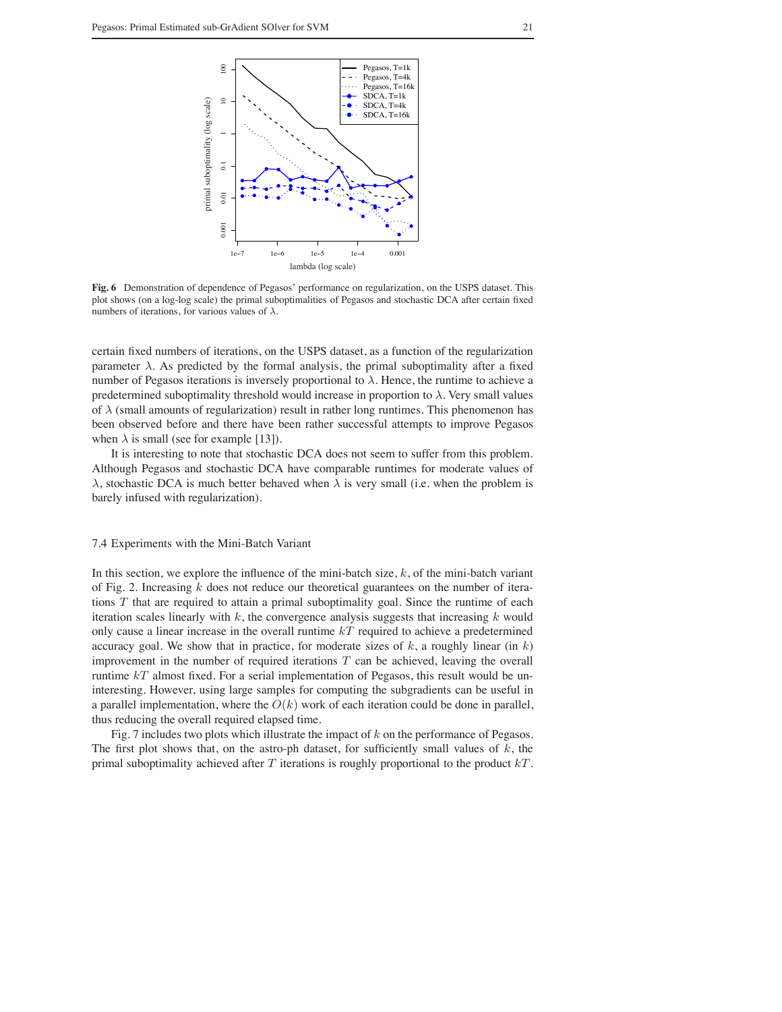

**Fig. 6** Demonstration of dependence of Pegasos' performance on regularization, on the USPS dataset. This plot shows (on a log-log scale) the primal suboptimalities of Pegasos and stochastic DCA after certain fixed numbers of iterations, for various values of  $\lambda$ .

certain fixed numbers of iterations, on the USPS dataset, as a function of the regularization parameter  $\lambda$ . As predicted by the formal analysis, the primal suboptimality after a fixed number of Pegasos iterations is inversely proportional to  $\lambda$ . Hence, the runtime to achieve a predetermined suboptimality threshold would increase in proportion to  $\lambda$ . Very small values of  $\lambda$  (small amounts of regularization) result in rather long runtimes. This phenomenon has been observed before and there have been rather successful attempts to improve Pegasos when  $\lambda$  is small (see for example [13]).

It is interesting to note that stochastic DCA does not seem to suffer from this problem. Although Pegasos and stochastic DCA have comparable runtimes for moderate values of λ, stochastic DCA is much better behaved when λ is very small (i.e. when the problem is barely infused with regularization).

#### 7.4 Experiments with the Mini-Batch Variant

In this section, we explore the influence of the mini-batch size,  $k$ , of the mini-batch variant of Fig. 2. Increasing  $k$  does not reduce our theoretical guarantees on the number of iterations  $T$  that are required to attain a primal suboptimality goal. Since the runtime of each iteration scales linearly with  $k$ , the convergence analysis suggests that increasing  $k$  would only cause a linear increase in the overall runtime  $kT$  required to achieve a predetermined accuracy goal. We show that in practice, for moderate sizes of  $k$ , a roughly linear (in  $k$ ) improvement in the number of required iterations  $T$  can be achieved, leaving the overall runtime  $kT$  almost fixed. For a serial implementation of Pegasos, this result would be uninteresting. However, using large samples for computing the subgradients can be useful in a parallel implementation, where the  $O(k)$  work of each iteration could be done in parallel, thus reducing the overall required elapsed time.

Fig. 7 includes two plots which illustrate the impact of  $k$  on the performance of Pegasos. The first plot shows that, on the astro-ph dataset, for sufficiently small values of  $k$ , the primal suboptimality achieved after  $T$  iterations is roughly proportional to the product  $kT$ .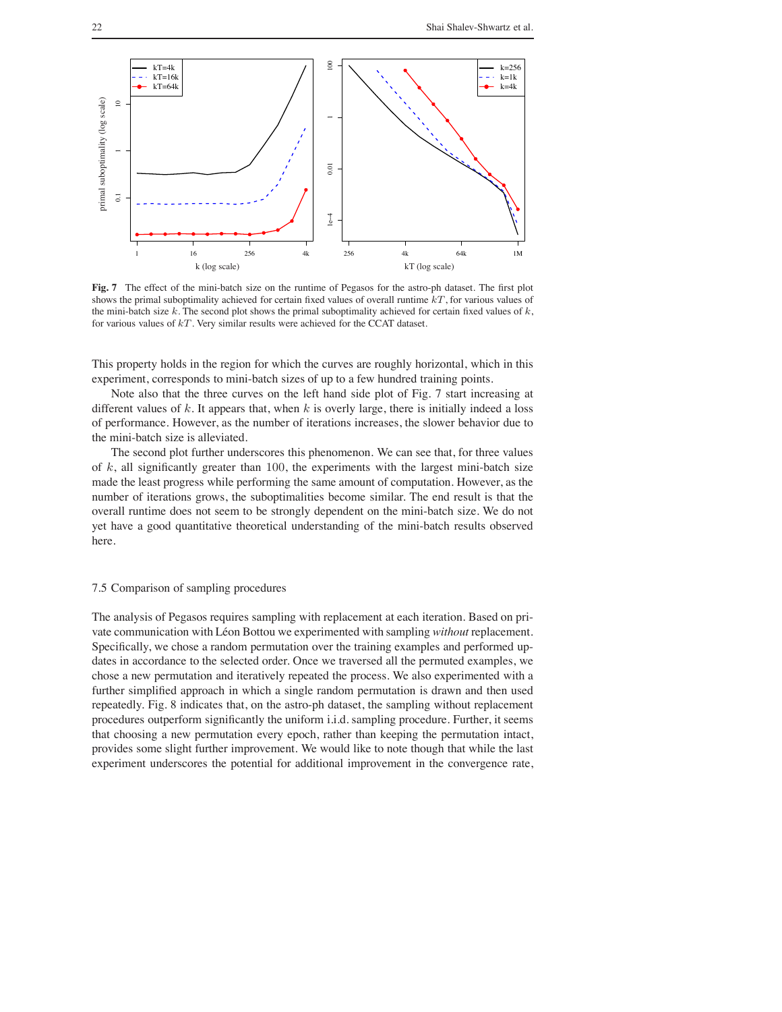

**Fig. 7** The effect of the mini-batch size on the runtime of Pegasos for the astro-ph dataset. The first plot shows the primal suboptimality achieved for certain fixed values of overall runtime  $kT$ , for various values of the mini-batch size  $k$ . The second plot shows the primal suboptimality achieved for certain fixed values of  $k$ , for various values of  $kT$ . Very similar results were achieved for the CCAT dataset.

This property holds in the region for which the curves are roughly horizontal, which in this experiment, corresponds to mini-batch sizes of up to a few hundred training points.

Note also that the three curves on the left hand side plot of Fig. 7 start increasing at different values of  $k$ . It appears that, when  $k$  is overly large, there is initially indeed a loss of performance. However, as the number of iterations increases, the slower behavior due to the mini-batch size is alleviated.

The second plot further underscores this phenomenon. We can see that, for three values of  $k$ , all significantly greater than 100, the experiments with the largest mini-batch size made the least progress while performing the same amount of computation. However, as the number of iterations grows, the suboptimalities become similar. The end result is that the overall runtime does not seem to be strongly dependent on the mini-batch size. We do not yet have a good quantitative theoretical understanding of the mini-batch results observed here.

# 7.5 Comparison of sampling procedures

The analysis of Pegasos requires sampling with replacement at each iteration. Based on private communication with Léon Bottou we experimented with sampling *without* replacement. Specifically, we chose a random permutation over the training examples and performed updates in accordance to the selected order. Once we traversed all the permuted examples, we chose a new permutation and iteratively repeated the process. We also experimented with a further simplified approach in which a single random permutation is drawn and then used repeatedly. Fig. 8 indicates that, on the astro-ph dataset, the sampling without replacement procedures outperform significantly the uniform i.i.d. sampling procedure. Further, it seems that choosing a new permutation every epoch, rather than keeping the permutation intact, provides some slight further improvement. We would like to note though that while the last experiment underscores the potential for additional improvement in the convergence rate,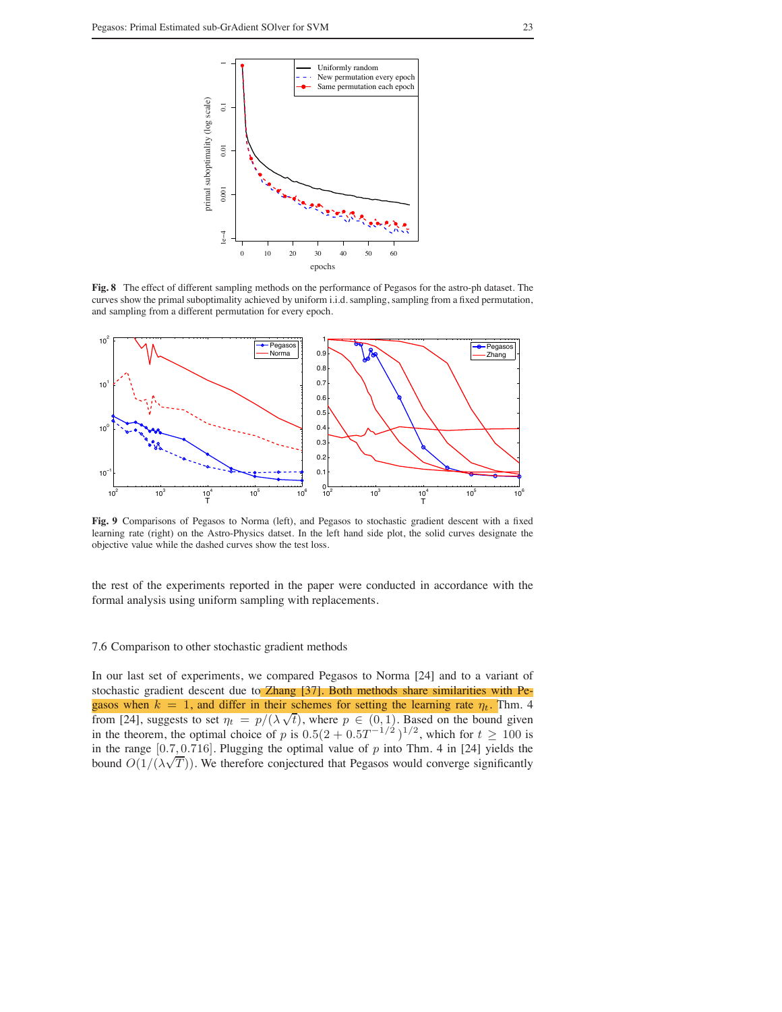

**Fig. 8** The effect of different sampling methods on the performance of Pegasos for the astro-ph dataset. The curves show the primal suboptimality achieved by uniform i.i.d. sampling, sampling from a fixed permutation, and sampling from a different permutation for every epoch.



**Fig. 9** Comparisons of Pegasos to Norma (left), and Pegasos to stochastic gradient descent with a fixed learning rate (right) on the Astro-Physics datset. In the left hand side plot, the solid curves designate the objective value while the dashed curves show the test loss.

the rest of the experiments reported in the paper were conducted in accordance with the formal analysis using uniform sampling with replacements.

## 7.6 Comparison to other stochastic gradient methods

In our last set of experiments, we compared Pegasos to Norma [24] and to a variant of stochastic gradient descent due to Zhang [37]. Both methods share similarities with Pegasos when  $k = 1$ , and differ in their schemes for setting the learning rate  $\eta_t$ . Thm. 4 from [24], suggests to set  $\eta_t = p/(\lambda \sqrt{t})$ , where  $p \in (0, 1)$ . Based on the bound given in the theorem, the optimal choice of p is  $0.5(2 + 0.5T^{-1/2})^{1/2}$ , which for  $t \ge 100$  is in the range  $[0.7, 0.716]$ . Plugging the optimal value of  $p$  into Thm. 4 in [24] yields the bound  $O(1/(\lambda\sqrt{T}))$ . We therefore conjectured that Pegasos would converge significantly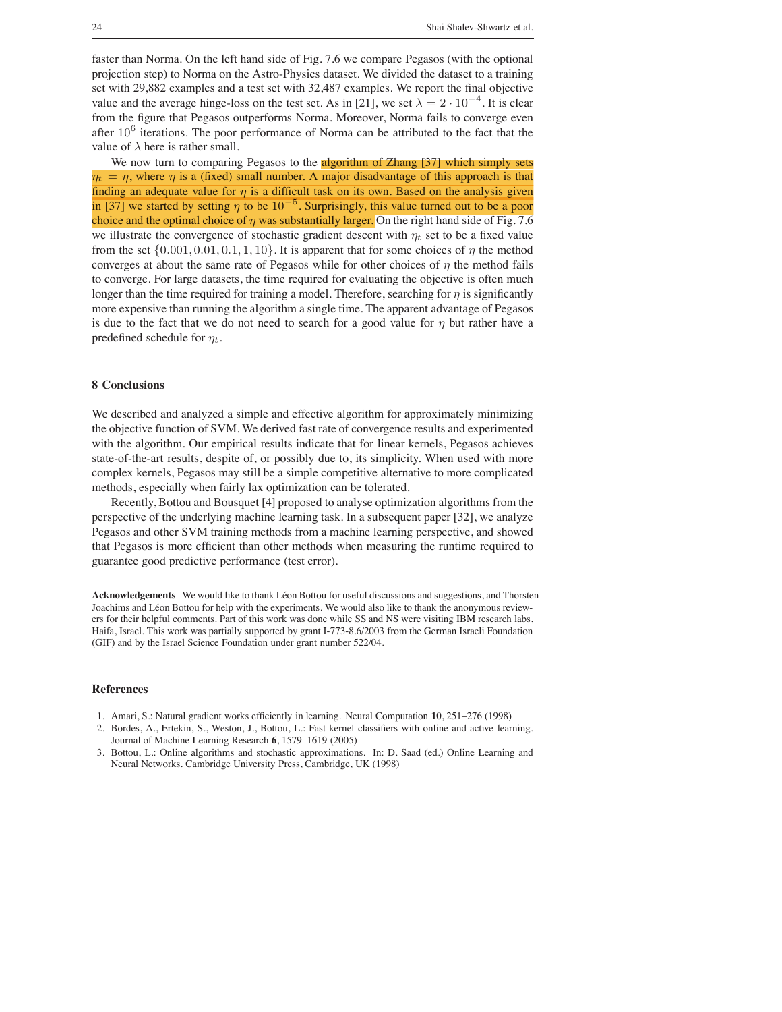faster than Norma. On the left hand side of Fig. 7.6 we compare Pegasos (with the optional projection step) to Norma on the Astro-Physics dataset. We divided the dataset to a training set with 29,882 examples and a test set with 32,487 examples. We report the final objective value and the average hinge-loss on the test set. As in [21], we set  $\lambda = 2 \cdot 10^{-4}$ . It is clear from the figure that Pegasos outperforms Norma. Moreover, Norma fails to converge even after  $10^6$  iterations. The poor performance of Norma can be attributed to the fact that the value of  $\lambda$  here is rather small.

We now turn to comparing Pegasos to the **algorithm of Zhang** [37] which simply sets  $\eta_t = \eta$ , where  $\eta$  is a (fixed) small number. A major disadvantage of this approach is that finding an adequate value for  $\eta$  is a difficult task on its own. Based on the analysis given in [37] we started by setting  $\eta$  to be  $10^{-5}$ . Surprisingly, this value turned out to be a poor choice and the optimal choice of  $\eta$  was substantially larger. On the right hand side of Fig. 7.6 we illustrate the convergence of stochastic gradient descent with  $\eta_t$  set to be a fixed value from the set  $\{0.001, 0.01, 0.1, 1, 10\}$ . It is apparent that for some choices of  $\eta$  the method converges at about the same rate of Pegasos while for other choices of  $\eta$  the method fails to converge. For large datasets, the time required for evaluating the objective is often much longer than the time required for training a model. Therefore, searching for  $\eta$  is significantly more expensive than running the algorithm a single time. The apparent advantage of Pegasos is due to the fact that we do not need to search for a good value for  $\eta$  but rather have a predefined schedule for  $\eta_t$ .

# **8 Conclusions**

We described and analyzed a simple and effective algorithm for approximately minimizing the objective function of SVM. We derived fast rate of convergence results and experimented with the algorithm. Our empirical results indicate that for linear kernels, Pegasos achieves state-of-the-art results, despite of, or possibly due to, its simplicity. When used with more complex kernels, Pegasos may still be a simple competitive alternative to more complicated methods, especially when fairly lax optimization can be tolerated.

Recently, Bottou and Bousquet [4] proposed to analyse optimization algorithms from the perspective of the underlying machine learning task. In a subsequent paper [32], we analyze Pegasos and other SVM training methods from a machine learning perspective, and showed that Pegasos is more efficient than other methods when measuring the runtime required to guarantee good predictive performance (test error).

Acknowledgements We would like to thank Léon Bottou for useful discussions and suggestions, and Thorsten Joachims and Léon Bottou for help with the experiments. We would also like to thank the anonymous reviewers for their helpful comments. Part of this work was done while SS and NS were visiting IBM research labs, Haifa, Israel. This work was partially supported by grant I-773-8.6/2003 from the German Israeli Foundation (GIF) and by the Israel Science Foundation under grant number 522/04.

# **References**

- 1. Amari, S.: Natural gradient works efficiently in learning. Neural Computation **10**, 251–276 (1998)
- 2. Bordes, A., Ertekin, S., Weston, J., Bottou, L.: Fast kernel classifiers with online and active learning. Journal of Machine Learning Research **6**, 1579–1619 (2005)
- 3. Bottou, L.: Online algorithms and stochastic approximations. In: D. Saad (ed.) Online Learning and Neural Networks. Cambridge University Press, Cambridge, UK (1998)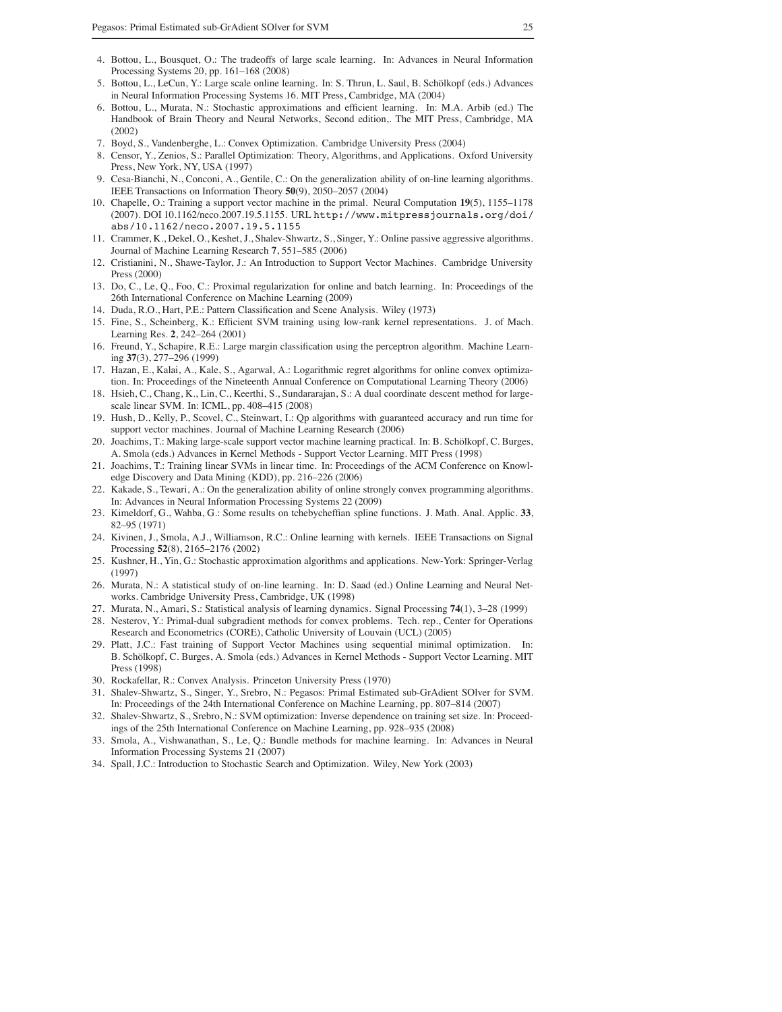- 4. Bottou, L., Bousquet, O.: The tradeoffs of large scale learning. In: Advances in Neural Information Processing Systems 20, pp. 161–168 (2008)
- 5. Bottou, L., LeCun, Y.: Large scale online learning. In: S. Thrun, L. Saul, B. Schölkopf (eds.) Advances in Neural Information Processing Systems 16. MIT Press, Cambridge, MA (2004)
- 6. Bottou, L., Murata, N.: Stochastic approximations and efficient learning. In: M.A. Arbib (ed.) The Handbook of Brain Theory and Neural Networks, Second edition,. The MIT Press, Cambridge, MA (2002)
- 7. Boyd, S., Vandenberghe, L.: Convex Optimization. Cambridge University Press (2004)
- 8. Censor, Y., Zenios, S.: Parallel Optimization: Theory, Algorithms, and Applications. Oxford University Press, New York, NY, USA (1997)
- 9. Cesa-Bianchi, N., Conconi, A., Gentile, C.: On the generalization ability of on-line learning algorithms. IEEE Transactions on Information Theory **50**(9), 2050–2057 (2004)
- 10. Chapelle, O.: Training a support vector machine in the primal. Neural Computation **19**(5), 1155–1178 (2007). DOI 10.1162/neco.2007.19.5.1155. URL http://www.mitpressjournals.org/doi/ abs/10.1162/neco.2007.19.5.1155
- 11. Crammer, K., Dekel, O., Keshet, J., Shalev-Shwartz, S., Singer, Y.: Online passive aggressive algorithms. Journal of Machine Learning Research **7**, 551–585 (2006)
- 12. Cristianini, N., Shawe-Taylor, J.: An Introduction to Support Vector Machines. Cambridge University Press (2000)
- 13. Do, C., Le, Q., Foo, C.: Proximal regularization for online and batch learning. In: Proceedings of the 26th International Conference on Machine Learning (2009)
- 14. Duda, R.O., Hart, P.E.: Pattern Classification and Scene Analysis. Wiley (1973)
- 15. Fine, S., Scheinberg, K.: Efficient SVM training using low-rank kernel representations. J. of Mach. Learning Res. **2**, 242–264 (2001)
- 16. Freund, Y., Schapire, R.E.: Large margin classification using the perceptron algorithm. Machine Learning **37**(3), 277–296 (1999)
- 17. Hazan, E., Kalai, A., Kale, S., Agarwal, A.: Logarithmic regret algorithms for online convex optimization. In: Proceedings of the Nineteenth Annual Conference on Computational Learning Theory (2006)
- 18. Hsieh, C., Chang, K., Lin, C., Keerthi, S., Sundararajan, S.: A dual coordinate descent method for largescale linear SVM. In: ICML, pp. 408–415 (2008)
- 19. Hush, D., Kelly, P., Scovel, C., Steinwart, I.: Qp algorithms with guaranteed accuracy and run time for support vector machines. Journal of Machine Learning Research (2006)
- 20. Joachims, T.: Making large-scale support vector machine learning practical. In: B. Schölkopf, C. Burges, A. Smola (eds.) Advances in Kernel Methods - Support Vector Learning. MIT Press (1998)
- 21. Joachims, T.: Training linear SVMs in linear time. In: Proceedings of the ACM Conference on Knowledge Discovery and Data Mining (KDD), pp. 216–226 (2006)
- 22. Kakade, S., Tewari, A.: On the generalization ability of online strongly convex programming algorithms. In: Advances in Neural Information Processing Systems 22 (2009)
- 23. Kimeldorf, G., Wahba, G.: Some results on tchebycheffian spline functions. J. Math. Anal. Applic. **33**, 82–95 (1971)
- 24. Kivinen, J., Smola, A.J., Williamson, R.C.: Online learning with kernels. IEEE Transactions on Signal Processing **52**(8), 2165–2176 (2002)
- 25. Kushner, H., Yin, G.: Stochastic approximation algorithms and applications. New-York: Springer-Verlag (1997)
- 26. Murata, N.: A statistical study of on-line learning. In: D. Saad (ed.) Online Learning and Neural Networks. Cambridge University Press, Cambridge, UK (1998)
- 27. Murata, N., Amari, S.: Statistical analysis of learning dynamics. Signal Processing **74**(1), 3–28 (1999)
- 28. Nesterov, Y.: Primal-dual subgradient methods for convex problems. Tech. rep., Center for Operations Research and Econometrics (CORE), Catholic University of Louvain (UCL) (2005)
- 29. Platt, J.C.: Fast training of Support Vector Machines using sequential minimal optimization. In: B. Schölkopf, C. Burges, A. Smola (eds.) Advances in Kernel Methods - Support Vector Learning. MIT Press (1998)
- 30. Rockafellar, R.: Convex Analysis. Princeton University Press (1970)
- 31. Shalev-Shwartz, S., Singer, Y., Srebro, N.: Pegasos: Primal Estimated sub-GrAdient SOlver for SVM. In: Proceedings of the 24th International Conference on Machine Learning, pp. 807–814 (2007)
- 32. Shalev-Shwartz, S., Srebro, N.: SVM optimization: Inverse dependence on training set size. In: Proceedings of the 25th International Conference on Machine Learning, pp. 928–935 (2008)
- 33. Smola, A., Vishwanathan, S., Le, Q.: Bundle methods for machine learning. In: Advances in Neural Information Processing Systems 21 (2007)
- 34. Spall, J.C.: Introduction to Stochastic Search and Optimization. Wiley, New York (2003)